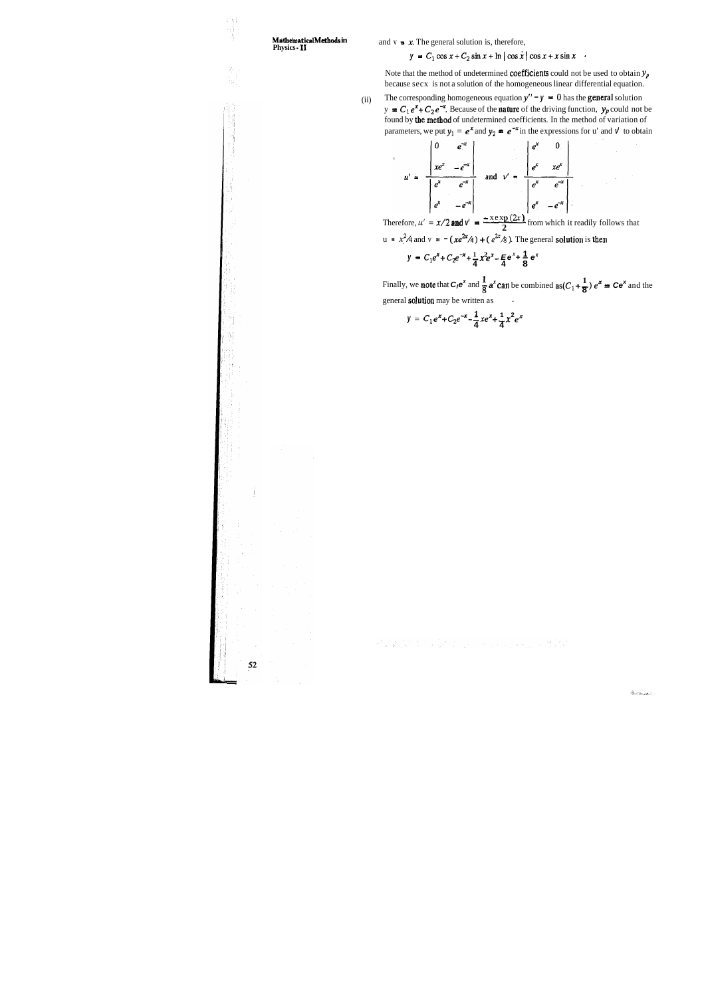ブ빈

## **Mathematical Methods in** and  $v = x$ . The general solution is, therefore, **Physics <b>-11**

## $y = C_1 \cos x + C_2 \sin x + \ln |\cos x| \cos x + x \sin x$

Note that the method of undetermined **coefficients** could not be used to obtain  $y_p$ because secx is not a solution of the homogeneous linear differential equation.

(ii) The corresponding homogeneous equation  $y'' - y = 0$  has the **general** solution  $y = C_1 e^x + C_2 e^{-x}$ . Because of the **nature** of the driving function,  $y_p$  could not be found by the methad of undetermined coefficients. In the method of variation of parameters, we put  $y_1 = e^x$  and  $y_2 = e^{-x}$  in the expressions for u' and  $v$  to obtain

$$
u' = \frac{\begin{vmatrix} 0 & e^{-x} \\ xe^{x} & -e^{-x} \end{vmatrix}}{\begin{vmatrix} e^{x} & e^{-x} \\ e^{x} & -e^{-x} \end{vmatrix}} \text{ and } v' = \frac{\begin{vmatrix} e^{x} & 0 \\ e^{x} & xe^{x} \end{vmatrix}}{\begin{vmatrix} e^{x} & -e^{-x} \\ e^{x} & -e^{-x} \end{vmatrix}}
$$
  
Therefore,  $u' = x/2$  and  $v' = \frac{-x \exp(2x)}{2}$  from which it readily follows that

u = 
$$
x^2/4
$$
 and v =  $-(xe^{2x}/4) + (e^{2x}/8)$ . The general solution is then

$$
y = C_1 e^x + C_2 e^{-x} + \frac{1}{4} x^2 e^x - \frac{1}{4} e^x + \frac{1}{8} e^x
$$

**1**Finally, we note that  $C_1e^x$  and  $\frac{1}{8}a^x$  can be combined  $as(C_1 + \frac{1}{8})e^x = Ce^x$  and the general **solution** may be written as

 $y = C_1 e^{x} + C_2 e^{-x} - \frac{1}{4} x e^{x} + \frac{1}{4} x^2 e^{x}$ 

Repared to the community of the

 $52\,$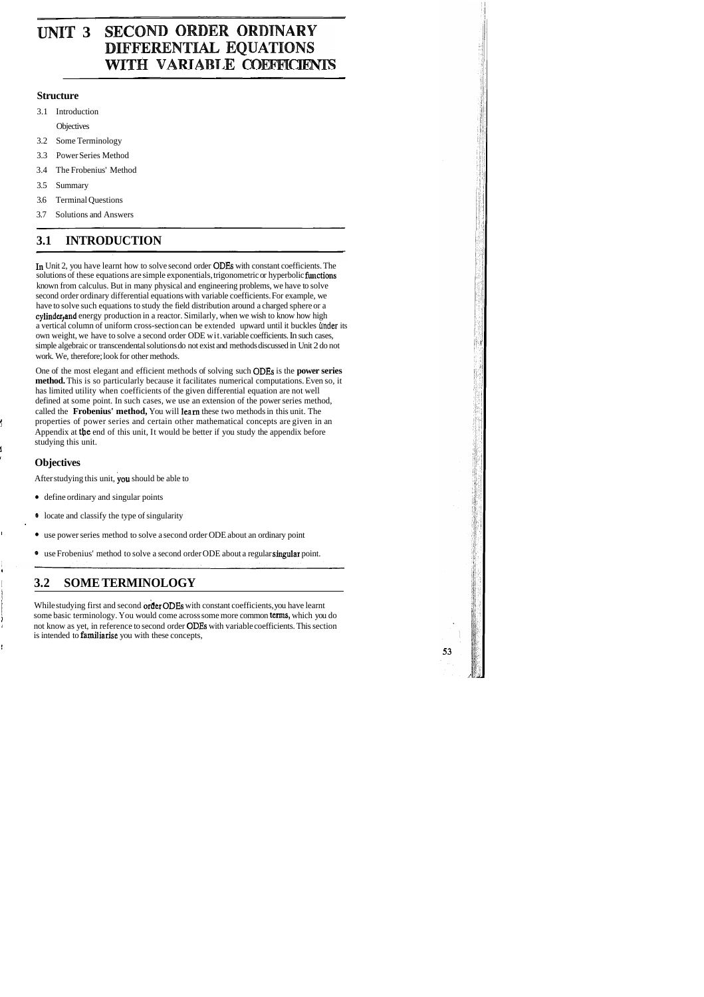## **UNIT 3 SECOND ORDER ORDINARY** DIFFERENTIAL EQUATIONS WITH VARIABLE COEFFICIENTS

## **Structure**

3.1 Introduction

**Objectives** 

- 3.2 Some Terminology
- 3.3 Power Series Method
- 3.4 The Frobenius' Method
- 3.5 Summary
- 3.6 Terminal Questions
- 3.7 Solutions and Answers

## **3.1 INTRODUCTION**

In Unit 2, you have learnt how to solve second order ODEs with constant coefficients. The solutions of these equations are simple exponentials, trigonometric or hyperbolic functions known from calculus. But in many physical and engineering problems, we have to solve second order ordinary differential equations with variable coefficients. For example, we have to solve such equations to study the field distribution around a charged sphere or a cylinder, and energy production in a reactor. Similarly, when we wish to know how high a vertical column of uniform cross-section can be extended upward until it buckles under its own weight, we have to solve a second order ODE wit. variable coefficients. In such cases, simple algebraic or transcendental solutions do not exist and methods discussed in Unit 2 do not work. We, therefore; look for other methods.

- define ordinary and singular points
- @ locate and classify the type of singularity
- use power series method to solve a second order ODE about an ordinary point
- <sup>9</sup> use Frobenius' method to solve a second order ODE about a regular singular point.

While studying first and second order ODEs with constant coefficients, you have learnt some basic terminology. You would come across some more common terms, which you do <sup>a</sup>not know as yet, in reference to second order ODES with variable coefficients. This section is intended to familiarise you with these concepts,

53

One of the most elegant and efficient methods of solving such ODEs is the **power series method.** This is so particularly because it facilitates numerical computations. Even so, it has limited utility when coefficients of the given differential equation are not well defined at some point. In such cases, we use an extension of the power series method, called the **Frobenius' method,** You will learn these two methods in this unit. The properties of power series and certain other mathematical concepts are given in an Appendix at the end of this unit, It would be better if you study the appendix before studying this unit.

1

## <sup>I</sup>**Objectives**

After studying this unit, you should be able to

I '

I

## <sup>I</sup>**3.2 SOME TERMINOLOGY**

I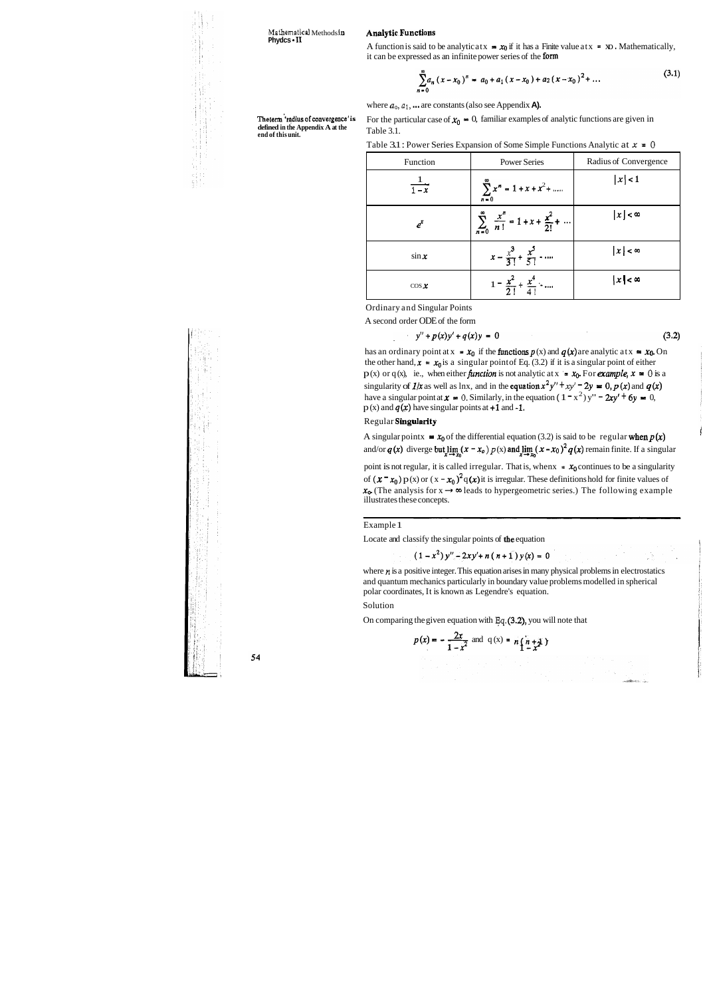**Mathematical** Methods **in** Analytic.Functions **Phydcs** - **I1** 

A function is said to be analytic at  $x = x_0$  if it has a Finite value at  $x = x_0$ . Mathematically, it can be expressed as an infinite power series of the form

$$
\sum_{i=0}^{\infty} a_n (x - x_0)^n = a_0 + a_1 (x - x_0) + a_2 (x - x_0)^2 + \dots
$$
 (3.1)

where  $a_0$ ,  $a_1$ ,  $\ldots$  are constants (also see Appendix **A).** 

**defined in the Appendix A at the end of this unit.** Table 3.1.

**The term 'radius of convergence' is** For the particular case of  $x_0 = 0$ , familiar examples of analytic functions are given in

Ordinary and Singular Points

A second order ODE of the form

$$
y'' + p(x)y' + q(x)y = 0 \tag{3.2}
$$

has an ordinary point at  $x = x_0$  if the **functions**  $p(x)$  and  $q(x)$  are analytic at  $x = x_0$ . On the other hand,  $x = x_0$  is a singular point of Eq. (3.2) if it is a singular point of either  $p(x)$  or q(x), ie., when either **function** is not analytic at  $x = x_0$ . For *example*,  $x = 0$  is a singularity of  $1/x$  as well as lnx, and in the equation  $x^2y'' + xy' = 2y = 0$ ,  $p(x)$  and  $q(x)$ have a singular point at  $x = 0$ . Similarly, in the equation  $(1 - x^2)y'' - 2xy' + 6y = 0$ ,  $p(x)$  and  $q(x)$  have singular points at +1 and -1.

point is not regular, it is called irregular. That is, when  $x = x_0$  continues to be a singularity of  $(x - x_0) p(x)$  or  $(x - x_0)^2 q(x)$  it is irregular. These definitions hold for finite values of of  $(x - x_0) p(x)$  or  $(x - x_0)^2 q(x)$  it is irregular. These definitionshold for finite values of  $x_0$ . (The analysis for  $x \to \infty$  leads to hypergeometric series.) The following example illustrates these concepts.

| $10010$ $0.1$<br>Table 3.1 : Power Series Expansion of Some Simple Functions Analytic at $x = 0$ |                                                                       |                       |
|--------------------------------------------------------------------------------------------------|-----------------------------------------------------------------------|-----------------------|
| Function                                                                                         | <b>Power Series</b>                                                   | Radius of Convergence |
| $\frac{1}{1-x}$                                                                                  | $\sum x^n = 1 + x + x^2 + \dots$                                      | x  < 1                |
| $e^{x}$                                                                                          | $\sum_{n=0}^{\infty} \frac{x^n}{n!} = 1 + x + \frac{x^2}{2!} + \dots$ | $ x  < \infty$        |
| $\sin x$                                                                                         | $x - \frac{x^3}{3!} + \frac{x^5}{5!} - \cdots$                        | $ x  < \infty$        |
| $\cos x$                                                                                         | $1 = \frac{x^2}{2!} + \frac{x^4}{4!}$                                 | $ x  < \infty$        |

where  $n$  is a positive integer. This equation arises in many physical problems in electrostatics and quantum mechanics particularly in boundary value problems modelled in spherical polar coordinates, It is known as Legendre's equation.

#### Regular Singularity

A singular pointx  $\equiv x_0$  of the differential equation (3.2) is said to be regular when  $p(x)$ and/or  $q(x)$  diverge but  $\lim_{x\to x_0}(x-x_0)p(x)$  and  $\lim_{x\to x_0}(x-x_0)^2q(x)$  remain finite. If a singular

#### Example 1

Locate and classify the singular points of the equation

 $(1-x^2)y'' - 2xy' + n(n+1)y(x) = 0$ 

#### Solution

On comparing the given equation with **Eq.** (3.2), you will note that

$$
p(x) = -\frac{2x}{1 - x^2} \text{ and } q(x) = n \left( \frac{n + 1}{2} \right)
$$

$$
\begin{array}{l} \begin{array}{l} \text{where } \mathbf{R} \in \mathbb{R}^n, \mathbf{R} \in \mathbb{R}^n, \mathbf{R} \in \mathbb{R}^n, \mathbf{R} \in \mathbb{R}^n, \mathbf{R} \in \mathbb{R}^n, \mathbf{R} \in \mathbb{R}^n, \mathbf{R} \in \mathbb{R}^n, \mathbf{R} \in \mathbb{R}^n, \mathbf{R} \in \mathbb{R}^n, \mathbf{R} \in \mathbb{R}^n, \mathbf{R} \in \mathbb{R}^n, \mathbf{R} \in \mathbb{R}^n, \mathbf{R} \in \mathbb{R}^n, \mathbf{R} \in \mathbb{R}^n, \mathbf{R} \in \mathbb{R}^n, \mathbf{R} \in \mathbb{R}^n, \mathbf{R} \in \mathbb{R}^n, \mathbf{R} \in \mathbb{R}^n, \mathbf{R} \in \mathbb{R}^n, \mathbf{R} \in \mathbb{R}^n, \mathbf{R} \in \mathbb{R}^n, \mathbf{R} \in \mathbb{R}^n, \mathbf{R} \in \mathbb{R}^n, \mathbf{R} \in \mathbb{R}^n, \mathbf{R} \in \mathbb{R}^n, \mathbf{R} \in \mathbb{R}^n, \mathbf{R} \in \mathbb{R}^n, \mathbf{R} \in \mathbb{R}^n, \mathbf{R} \in \mathbb{R}^n, \mathbf{R} \in \mathbb{R}^n, \mathbf{R} \in \mathbb{R}^n, \mathbf{R} \in \mathbb{R}^n, \mathbf{R} \in \mathbb{R}^n, \mathbf{R} \in \mathbb{R}^n, \mathbf{R} \in \mathbb{R}^n, \mathbf{R} \in \mathbb{R}^n, \mathbf{R} \in \mathbb{R}^n, \mathbf{R} \in \mathbb{R}^n, \mathbf{R} \in \mathbb{R}^n, \mathbf{R} \in \mathbb{R}^n, \mathbf{R} \in \mathbb{R}^n, \mathbf{R} \in \mathbb{R}^n, \mathbf{R} \in \mathbb{R}^n, \mathbf{R} \in \math
$$

54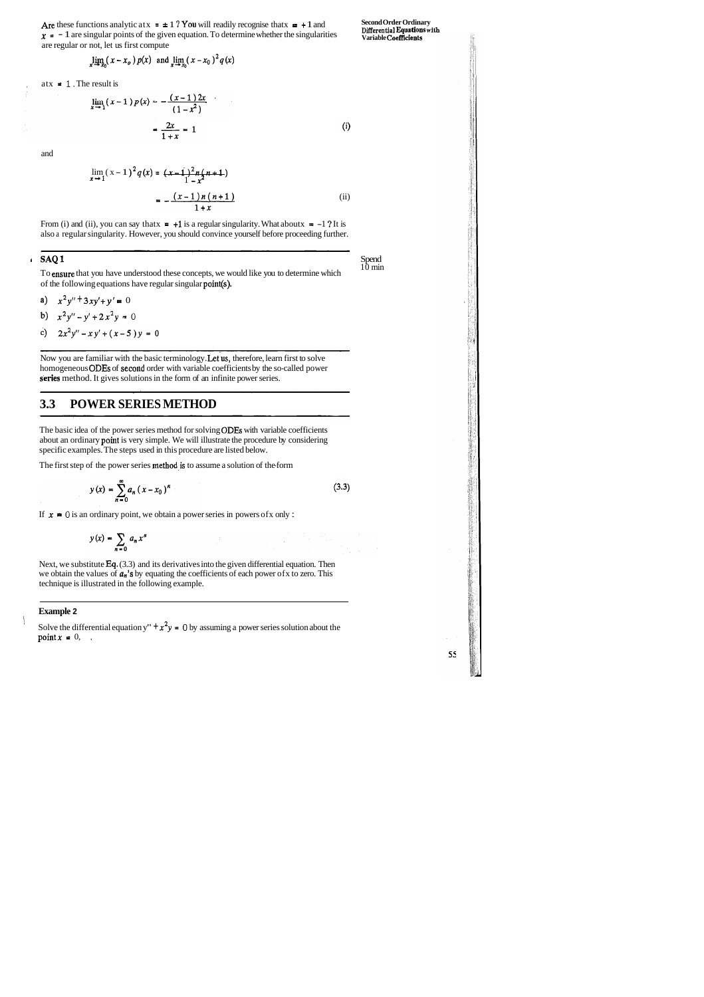Are these functions analytic at  $x = \pm 1$  ? You will readily recognise that  $x = +1$  and **Second Order Ordinary Differential Equations with**  $x = -1$  are singular points of the given equation. To determine whether the singularities are regular or not, let us first compute

Spend<br>10 min

55

From (i) and (ii), you can say that  $x = +1$  is a regular singularity. What about  $x = -1$  ? It is also a regular singularity. However, you should convince yourself before proceeding further.

#### **I**SAQ 1 Spend

$$
\lim_{x \to x_0} (x - x_o) p(x) \text{ and } \lim_{x \to x_0} (x - x_0)^2 q(x)
$$

atx  $= 1$ . The result is

$$
\lim_{x \to 1} (x-1) p(x) = -\frac{(x-1) 2x}{(1-x^2)}
$$

$$
= \frac{2x}{1+x} = 1
$$
(i)

and

$$
\lim_{x \to 1} (x-1)^2 q(x) = (x-1)^2 n(n+1)
$$
  
=  $-(x-1)n(n+1)$   
=  $-(x-1)n(n+1)$  (ii)

To ensure that you have understood these concepts, we would like you to determine which of the following equations have regular singular point(s).

- a)  $x^2y'' + 3xy' + y' = 0$
- b)  $x^2y''-y'+2x^2y = 0$
- c)  $2x^2y'' xy' + (x-5)y = 0$

Now you are familiar with the basic terminology. Let us, therefore, learn first to solve homogeneous ODEs of second order with variable coefficients by the so-called power series method. It gives solutions in the form of an infinite power series.

Next, we substitute Eq. (3.3) and its derivatives into the given differential equation. Then we obtain the values of **an's** by equating the coefficients of each power ofx to zero. This technique is illustrated in the following example.

## **3.3 POWER SERIES METHOD**

The basic idea of the power series method for solving ODES with variable coefficients about an ordinary point is very simple. We will illustrate the procedure by considering specific examples. The steps used in this procedure are listed below.

The first step of the power series method is to assume a solution of the form

$$
y(x) = \sum_{n=0}^{\infty} a_n (x - x_0)^n
$$
 (3.3)

If  $x = 0$  is an ordinary point, we obtain a power series in powers of x only :

$$
y(x) = \sum_{n=0} a_n x^n
$$

### **Example 2**

Solve the differential equation y"  $+x^2y = 0$  by assuming a power series solution about the point  $x = 0$ ,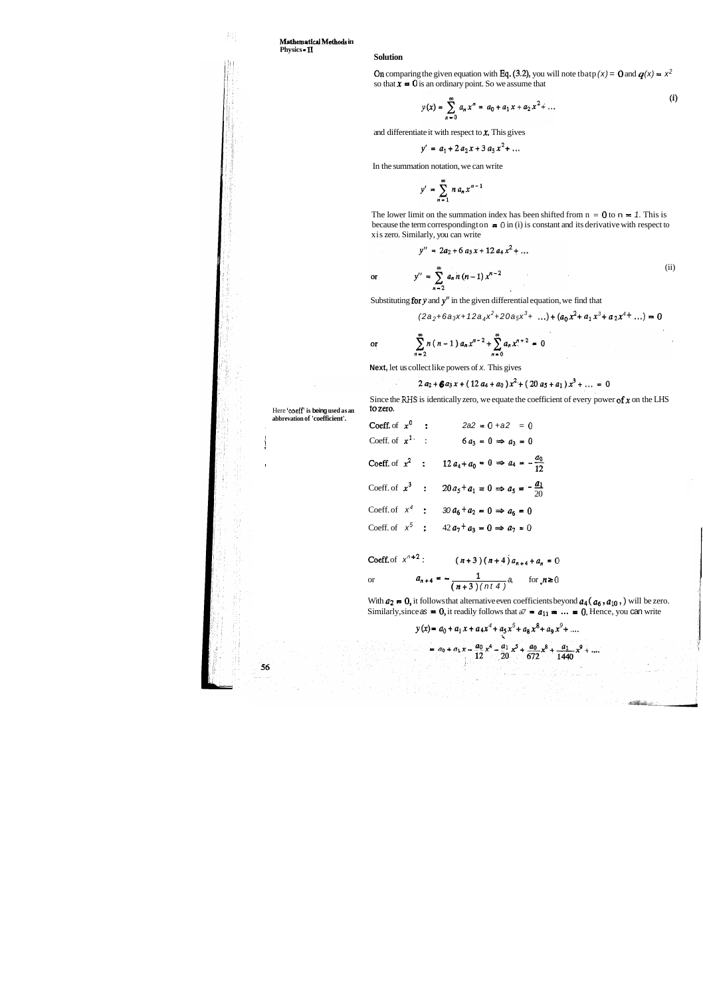**Mathematical Mabods in Physics** - **11** 

### **Solution**

On comparing the given equation with Eq. (3.2), you will note tbatp (x) = 0 and  $q(x) = x^2$ so that  $\mathbf{x} = 0$  is an ordinary point. So we assume that

$$
y(x) = \sum_{n=0}^{\infty} a_n x^n = a_0 + a_1 x + a_2 x^2 + \dots
$$
 (i)

and differentiate it with respect to  $x$ . This gives

$$
y' = a_1 + 2 a_2 x + 3 a_3 x^2 + \dots
$$

The lower limit on the summation index has been shifted from  $n = 0$  to  $n = 1$ . This is because the term corresponding ton  $\bullet$  0 in (i) is constant and its derivative with respect to xis zero. Similarly, you can write

In the summation notation, we can write

$$
y' = \sum_{n=1}^{\infty} n a_n x^{n-1}
$$

Here 'coeff' is being used as an **abbrevation of 'coefficient'.** 

$$
y'' = 2a_2 + 6 a_3 x + 12 a_4 x^2 + \dots
$$
  

$$
y'' = \sum_{n=2}^{\infty} a_n n (n-1) x^{n-2}
$$
 (ii)

Substituting for  $y$  and  $y''$  in the given differential equation, we find that

$$
(2a_2 + 6a_3x + 12a_4x^2 + 20a_5x^3 + \dots) + (a_0x^2 + a_1x^3 + a_2x^4 + \dots) = 0
$$

 $\sum_{n=2}^{\infty} n(n-1) a_n x^{n-2} + \sum_{n=0}^{\infty} a_n x^{n+2} = 0$  $\alpha$ 

**Next,** let us collect like powers of x. This gives

$$
2 a_2 + 6 a_3 x + (12 a_4 + a_0) x^2 + (20 a_5 + a_1) x^3 + \ldots = 0
$$

Since the RHS is identically zero, we equate the coefficient of every power of  $x$  on the LHS to zero.

aborevaluon of coefficient.<br>Coeff. of  $x^0$  :  $2a2 = 0 + a2 = 0$ So Coeff. of  $x^{1}$ : 6 $a_3 = 0 \Rightarrow a_3 = 0$ Coeff. of  $x^2$  :  $12a_4 + a_0 = 0 \Rightarrow a_4 = -\frac{a_0}{12}$ Coeff. of  $x^3$  :  $20 a_5 + a_1 = 0 \implies a_5 = -\frac{a_1}{20}$ Coeff. of  $x^4$  :  $30 a_6 + a_2 = 0 \Rightarrow a_6 = 0$ Coeff. of  $x^5$  ;  $42a_7 + a_3 = 0 \implies a_7 = 0$ 

!

56

$$
\text{Coeff. of } x^{n+2}: \qquad (n+3)(n+4)a_{n+4} + a_n = 0
$$
\n
$$
\text{or} \qquad a_{n+4} = -\frac{1}{(n+3)(n+4)}a_n \qquad \text{for } n \ge 0
$$

With  $a_2 = 0$ , it follows that alternative even coefficients beyond  $a_4$  ( $a_6$ ,  $a_{10}$ ,) will be zero. Similarly, since  $\alpha s = 0$ , it readily follows that  $a^7 = a_{11} = \ldots = 0$ . Hence, you can write

$$
y(x) = a_0 + a_1 x + a_4 x^4 + a_5 x^5 + a_8 x^8 + a_9 x^9 + \dots
$$

$$
= a_0 + a_1 x - \frac{a_0}{12} x^4 - \frac{a_1}{20} x^5 + \frac{a_0}{672} x^8 + \frac{a_1}{1440} x^9 + \dots
$$

 $\mathbf{or}$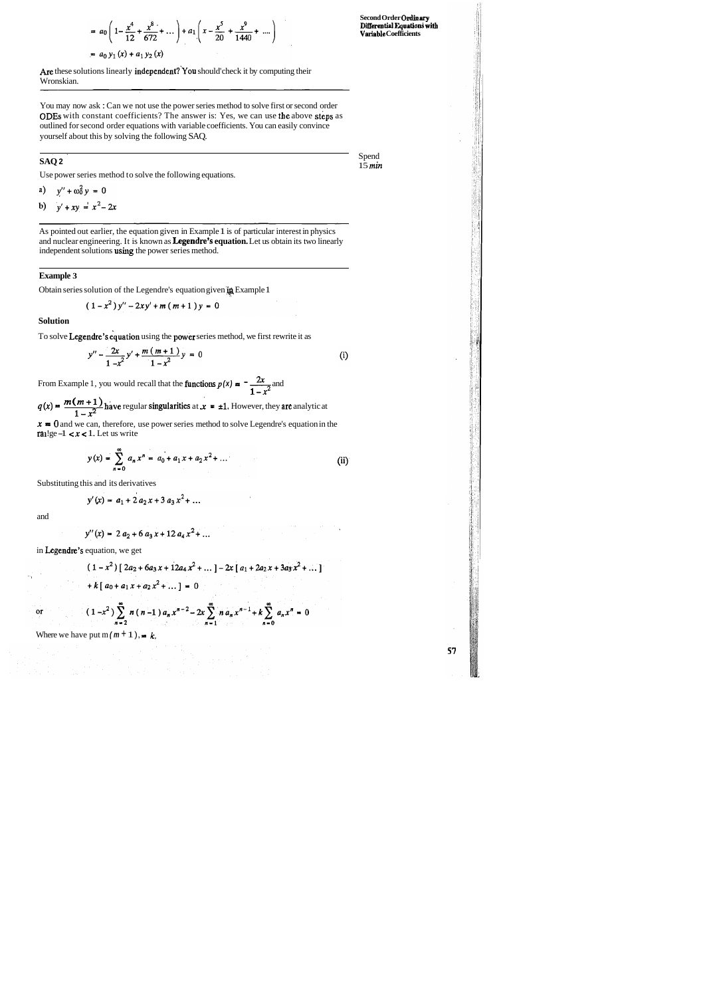$$
= a_0 \left( 1 - \frac{x^4}{12} + \frac{x^8}{672} + \dots \right) + a_1 \left( x - \frac{x^5}{20} + \frac{x^9}{1440} + \dots \right)
$$
  
= a\_0 y\_1 (x) + a\_1 y\_2 (x)

**Second Order Ordinary Dmerentinl Equation4 with Vmiable Coefficients** 

Are these solutions linearly independent? You should' check it by computing their Wronskian.

**SAQ 2** Spend 15 min 15 *min* 

57

You may now ask : Can we not use the power series method to solve first or second order ODES with constant coefficients? The answer is: Yes, we can use the above steps as outlined for second order equations with variable coefficients. You can easily convince yourself about this by solving the following SAQ.

. . . . . <u>.</u>

Use power series method to solve the following equations.

a) 
$$
y'' + \omega_0^2 y = 0
$$

b)  $y' + xy = x^2 - 2x$ 

As pointed out earlier, the equation given in Example 1 is of particular interest in physics and nuclear engineering. It is known as **Legendre's equation.** Let us obtain its two linearly independent solutions using the power series method.

#### **Example 3**

Obtain series solution of the Legendre's equation given **:q** Example 1

$$
(1-x^2)y''-2xy'+m(m+1)y=0
$$

#### **Solution**

To solve Legendre's equation using the power series method, we first rewrite it as

$$
y'' - \frac{2x}{1 - x^2}y' + \frac{m(m+1)}{1 - x^2}y = 0
$$
 (i)

From Example 1, you would recall that the **functions**  $p(x) = \frac{2x}{2}$  and  $\overline{1-x}$ 

From Example 1, you would recall that the **functions**  $p(x) = \frac{-2x}{1-x^2}$  and<br>  $q(x) = \frac{m(m+1)}{1-x^2}$  have regular singularities at  $x = \pm 1$ . However, they are analytic at  $1-x^2$ 

 $x = 0$  and we can, therefore, use power series method to solve Legendre's equation in the ralge  $-1 < x < 1$ . Let us write

$$
y(x) = \sum_{n=0}^{\infty} a_n x^n = a_0 + a_1 x + a_2 x^2 + \dots
$$
 (ii)

Substituting this and its derivatives

$$
y'(x) = a_1 + 2 a_2 x + 3 a_3 x^2 + \dots
$$

and

 $\alpha$ 

$$
y''(x) = 2 a_2 + 6 a_3 x + 12 a_4 x^2 + \dots
$$

in Legendre's equation, we get

$$
(1 - x2) [ 2a2 + 6a3x + 12a4x2 + ... ] - 2x [ a1 + 2a2x + 3a3x2 + ... ]
$$
  
+ k [ a<sub>0</sub> + a<sub>1</sub>x + a<sub>2</sub>x<sup>2</sup> + ... ] = 0

 $(1-x^2)\sum_{n=2}^{\infty} n(n-1) a_n x^{n-2} - 2x \sum_{n=1}^{\infty} n a_n x^{n-1} + k \sum_{n=0}^{\infty} a_n x^n = 0$ 

Where we have put  $m (m + 1)$ ,  $\neq k$ ,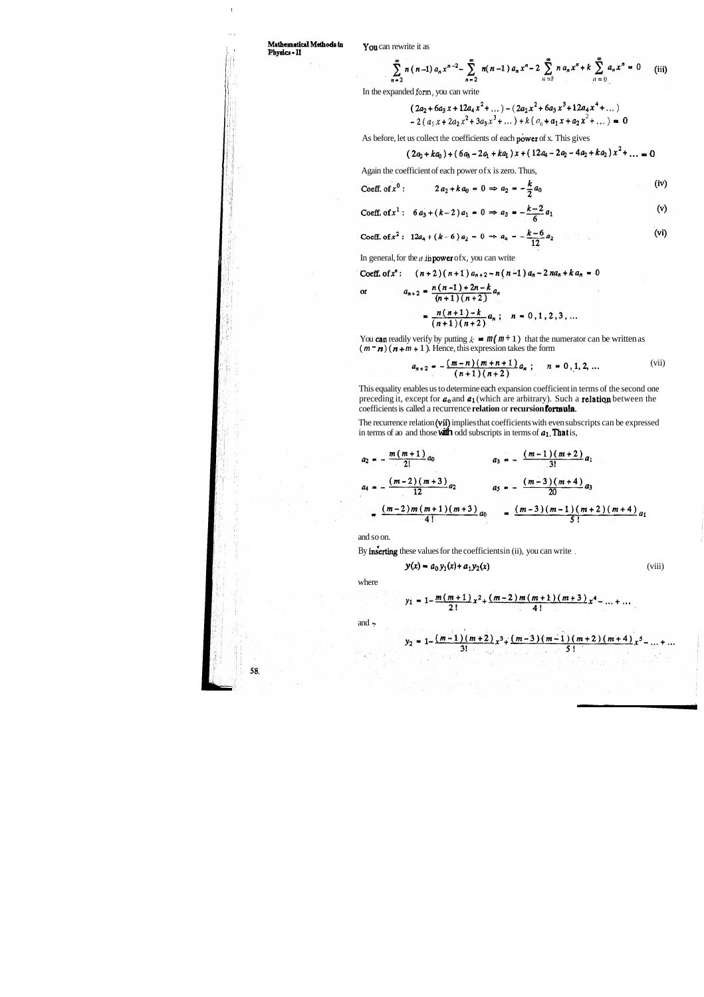I

.<br>" I

<sup>I</sup> '

$$
\sum_{n=2}^{\infty} n(n-1) a_n x^{n-2} - \sum_{n=2}^{\infty} n(n-1) a_n x^n - 2 \sum_{n=1}^{\infty} n a_n x^n + k \sum_{n=0}^{\infty} a_n x^n = 0
$$
 (iii)

## **Mathematid Mdhodsin** You can rewrite it as **Physics** - **I1**

In the expanded **form,** you can write

$$
(2a_2 + 6a_3 x + 12a_4 x^2 + \dots) - (2a_2 x^2 + 6a_3 x^3 + 12a_4 x^4 + \dots)
$$
  
- 2  $(a_1 x + 2a_2 x^2 + 3a_3 x^3 + \dots) + k (a_0 + a_1 x + a_2 x^2 + \dots) = 0$ 

As before, let us collect the coefficients of each power of x. This gives  
\n
$$
(2a_2 + ka_0) + (6a_3 - 2a_1 + ka_1)x + (12a_4 - 2a_2 - 4a_2 + ka_2)x^2 + ... = 0
$$

Again the coefficient of each power ofx is zero. Thus,

$$
\text{Coeff. of } x^0: \qquad 2 a_2 + k a_0 = 0 \Rightarrow a_2 = -\frac{k}{2} a_0 \qquad \qquad \text{(iv)}
$$

Coeff. of 
$$
x^1
$$
: 6  $a_3 + (k-2)a_1 = 0 \Rightarrow a_3 = -\frac{k-2}{6}a_1$  (v)

Coeff. of 
$$
x^2
$$
: 12a<sub>4</sub> + (k-6) a<sub>2</sub> = 0  $\Rightarrow a_4 = -\frac{k-6}{12}a_2$  (vi)

In general, for the  $n$  th **power** of x, you can write

Coeff. of 
$$
x^n
$$
:  $(n+2)(n+1) a_{n+2} - n(n-1) a_n - 2 na_n + ka_n = 0$   
or  $a_{n+2} = \frac{n(n-1) + 2n - k}{n}$ 

$$
\frac{n+2}{(n+1)(n+2)} - \frac{n}{n+1} = \frac{n(n+1)-k}{(n+1)(n+2)} a_n; \quad n = 0, 1, 2, 3, ...
$$

You **can** readily verify by putting  $k = m(m + 1)$  that the numerator can be written as  $(m - n)$  ( $n + m + 1$ ). Hence, this expression takes the form

$$
a_{n+2} = -\frac{(m-n)(m+n+1)}{(n+1)(n+2)}a_n ; \qquad n = 0, 1, 2, ... \tag{vii}
$$

This equality enables us to determine each expansion coefficient in terms of the second one preceding it, except for  $a_0$  and  $a_1$  (which are arbitrary). Such a **relation** between the coefficients is called a recurrence **relation** or **recursion Formula.** 

The recurrence relation (vii) implies that coefficients with even subscripts can be expressed in terms of ao and those with odd subscripts in terms of  $a_1$ . That is,

$$
a_2 = -\frac{m(m+1)}{2!}a_0
$$
  
\n
$$
a_3 = -\frac{(m-1)(m+2)}{3!}a_1
$$
  
\n
$$
a_4 = -\frac{(m-2)(m+3)}{12}a_2
$$
  
\n
$$
a_5 = -\frac{(m-3)(m+4)}{20}a_3
$$
  
\n
$$
= \frac{(m-2)m(m+1)(m+3)}{4!}a_0
$$
  
\n
$$
= \frac{(m-3)(m-1)(m+2)(m+4)}{5!}a_1
$$

and so on.

By inserting these values for the coefficients in (ii), you can write ,

$$
y(x) = a_0 y_1(x) + a_1 y_2(x)
$$
 (viii)

where

$$
y_1 = 1 - \frac{m(m+1)}{2!}x^2 + \frac{(m-2)m(m+1)(m+3)}{4!}x^4 - \dots + \dots
$$

and **1.** 

58.

$$
y_2 = 1 - \frac{(m-1)(m+2)}{3!}x^3 + \frac{(m-3)(m-1)(m+2)(m+4)}{5!}x^5 - \dots
$$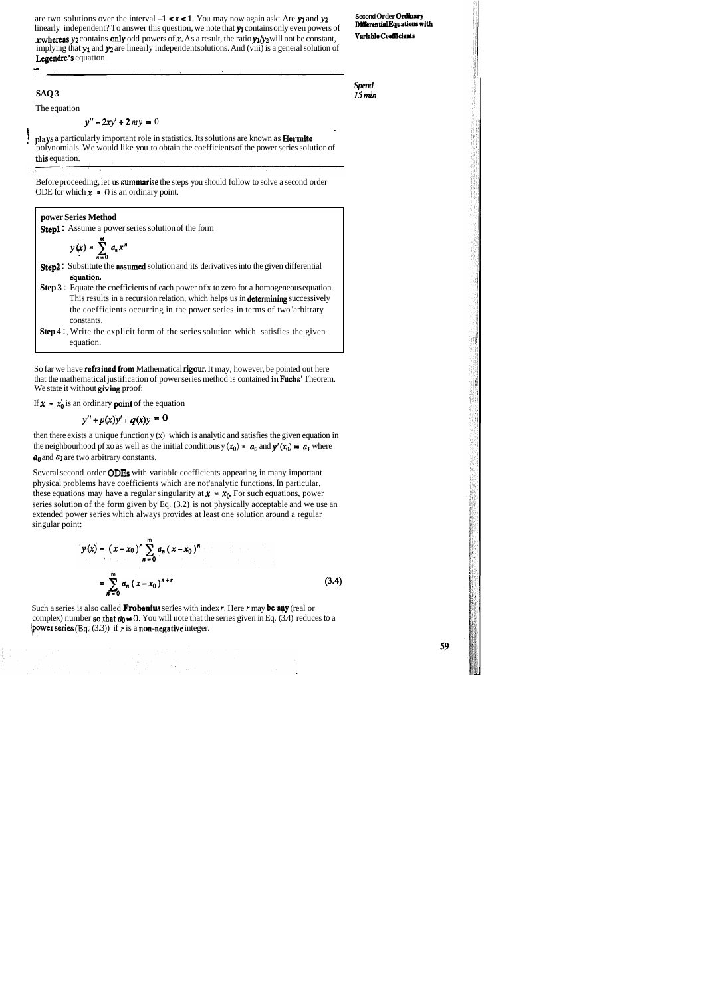plays a particularly important role in statistics. Its solutions are known as **Hermite** polynomials. We would like you to obtain the coefficients of the power series solution of ,this equation.

Before proceeding, let us summarise the steps you should follow to solve a second order ODE for which  $x = 0$  is an ordinary point.

**SAQ 3** 

The equation

 $y'' - 2xy' + 2my = 0$ 

are two solutions over the interval  $-1 < x < 1$ . You may now again ask: Are y<sub>1</sub> and y<sub>2</sub> Second Order Ordinary<br>linearly independent? To answer this question we note that **w** contains only even powers of **Differential Equati** linearly independent? To answer this question, we note that y<sub>i</sub> contains only even powers of **VPRIP Coellicients x** whereas  $y_2$  contains only odd powers of **x**. As a result, the ratio  $y_1/y_2$  will not be constant, implying that  $y_1$  and  $y_2$  are linearly independent solutions. And (viii) is a general solution of Legendre's equation.

*Spend*  **15** *min* 

then there exists a unique function y (x) which is analytic and satisfies the given equation in the neighbourhood pf xo as well as the initial conditions  $y(x_0) = a_0$  and  $y'(x_0) = a_1$  where  $a_0$  and  $a_1$  are two arbitrary constants.

**power Series Method**  
\n**Step1**: Assume a power series solution of the form  
\n
$$
y(x) = \sum_{n=0}^{\infty} a_n x^n
$$
  
\n**Step2**: Substitute the **assumed** solution and its derivatives into the given differential  
\nequation.  
\n**Step 3**: Equate the coefficients of each power of x to zero for a homogeneous equation.  
\nThis results in a recursion relation, which helps us in **determining** successively  
\nthe coefficients occurring in the power series in terms of two 'arbitrary  
\nconstants.

Such a series is also called **Frobenius** series with index *r*. Here *r* may be any (real or complex) number so, that  $a_0 \ne 0$ . You will note that the series given in Eq. (3.4) reduces to a Pwer series **(Eq.** (3.3)) if *r* is a non-negative integer.

59

**Step** 4 : , Write the explicit form of the series solution which satisfies the given equation.

So far we have **refrained from** Mathematical **rigour.** It may, however, be pointed out here that the mathematical justification of power series method is contained  $\mathbf{in}$  Fuchs' Theorem. We state it without giving proof:

If  $x = x_0$  is an ordinary **point** of the equation

$$
y'' + p(x)y' + q(x)y = 0
$$

Several second order ODES with variable coefficients appearing in many important physical problems have coefficients which are not'analytic functions. In particular, these equations may have a regular singularity at  $x = x_0$ . For such equations, power series solution of the form given by Eq. (3.2) is not physically acceptable and we use an extended power series which always provides at least one solution around a regular singular point:

$$
y(x) = (x - x_0)^r \sum_{n=0}^{m} a_n (x - x_0)^n
$$
  
= 
$$
\sum_{n=0}^{m} a_n (x - x_0)^{n+r}
$$
 (3.4)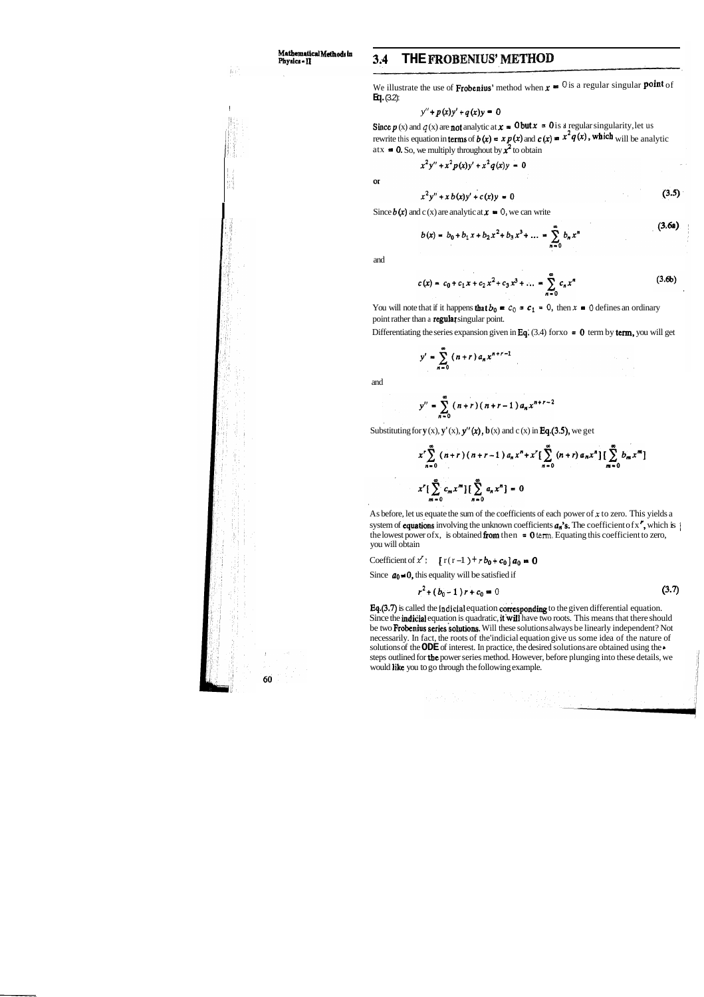# **Mathematical Methods in**<br>Physics - II

## **Phyaica** - **II 3.4 THE FROBENIUS' METNOD**

We illustrate the use of **Frobenius'** method when  $x = 0$  is a regular singular **point** of **Eq.** (3.2):

$$
y'' + p(x)y' + q(x)y = 0
$$

Since  $p(x)$  and  $q(x)$  are not analytic at  $x = 0$  but  $x = 0$  is a regular singularity, let us rewrite this equation in terms of  $b(x) = x p(x)$  and  $c(x) = x^2 q(x)$ , which will be analytic atx  $\bullet$  0. So, we multiply throughout by  $\mathbf{x}^2$  to obtain

$$
x^2y'' + x^2p(x)y' + x^2q(x)y = 0
$$

 $\alpha$ 

$$
x^2y'' + xb(x)y' + c(x)y = 0
$$
 (3.5)

Since  $b(x)$  and c (x) are analytic at  $x = 0$ , we can write

$$
b(x) = b_0 + b_1 x + b_2 x^2 + b_3 x^3 + \dots = \sum_{n=0}^{\infty} b_n x^n
$$
 (3.08)



and

$$
c(x) = c_0 + c_1 x + c_2 x^2 + c_3 x^3 + \dots = \sum_{n=0}^{\infty} c_n x^n
$$
 (3.6b)

You will note that if it happens **that**  $b_0 = c_0 = c_1 = 0$ , then  $x = 0$  defines an ordinary point rather than a regular singular point.

Differentiating the series expansion given in Eq. (3.4) for  $x_0 = 0$  term by term, you will get

$$
y' = \sum_{n=0}^{\infty} (n+r) a_n x^{n+r-1}
$$

and

$$
y'' = \sum_{n=0}^{\infty} (n+r)(n+r-1) a_n x^{n+r-2}
$$

Substituting for  $y(x)$ ,  $y'(x)$ ,  $y''(x)$ ,  $b(x)$  and c (x) in **Eq.(3.5)**, we get

$$
x^{r} \sum_{n=0}^{\infty} (n+r) (n+r-1) a_{n} x^{n} + x^{r} \Big[ \sum_{n=0}^{\infty} (n+r) a_{n} x^{n} \Big] \Big[ \sum_{m=0}^{\infty} b_{m} x^{m} \Big]
$$
  

$$
x^{r} \Big[ \sum_{m=0}^{\infty} c_{m} x^{m} \Big] \Big[ \sum_{n=0}^{\infty} a_{n} x^{n} \Big] = 0
$$

Eq.(3.7) is called the **Indicial** equation corresponding to the given differential equation. Since the indicial equation is quadratic, it will have two roots. This means that there should be two Frobenius series solutions. Will these solutions always be linearly independent? Not necessarily. In fact, the roots of the'indicial equation give us some idea of the nature of solutions of the **ODE** of interest. In practice, the desired solutions are obtained using the \* steps outlined for tbe power series method. However, before plunging into these details, we would like you to go through the following example.

As before, let us equate the sum of the coefficients of each power of **x** to zero. This yields a system of **equations** involving the unknown coefficients  $a_n$ 's. The coefficient of x', which is  $\}$ the lowest power of x, is obtained from then  $= 0$  term. Equating this coefficient to zero, you will obtain

Coefficient of  $x'$ :  $[r(r-1) + rb_0 + c_0] a_0 = 0$ 

Since  $a_0 \neq 0$ , this equality will be satisfied if

 $\chi$  is a string of .

$$
r^2 + (b_0 - 1)r + c_0 = 0 \tag{3.7}
$$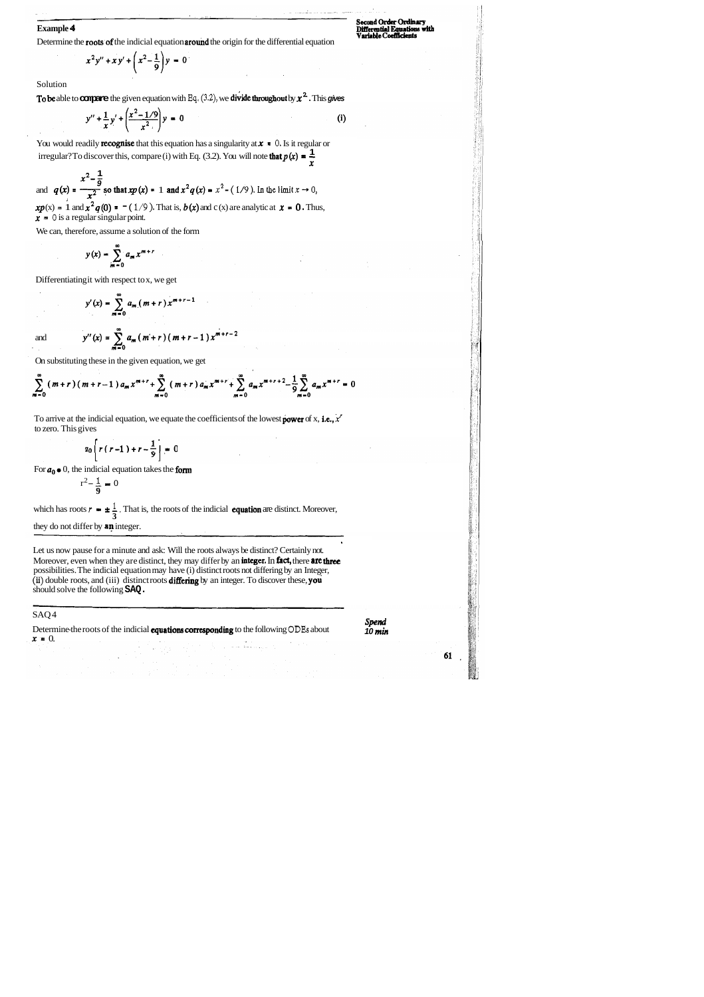**Example 4**<br> **Example 4 Differential Equations with**<br> **Pariable Coefficients** Determine the **roots** of the indicial equation **around** the origin for the differential equation

$$
x^2y'' + xy' + \left(x^2 - \frac{1}{9}\right)y = 0
$$

Solution

To be able to compare the given equation with Eq.  $(3.2)$ , we divide throughout by  $x^2$ . This gives

$$
y'' + \frac{1}{x}y' + \left(\frac{x^2 - 1/9}{x^2}\right)y = 0
$$
 (i)

You would readily **recognise** that this equation has a singularity at  $x = 0$ . Is it regular or For would readily **recognise** that this equation has a singularity at  $x = 0$ . Is it regular irregular? To discover this, compare (i) with Eq. (3.2). You will note **that**  $p(x) = \frac{1}{x}$ 

 $x^2 - \frac{1}{9}$ and  $q(x) = \frac{x^2 - \frac{1}{9}}{x^2}$  so that  $xp(x) = 1$  and  $x^2q(x) = x^2 - (1/9)$ . In the limit  $x \to 0$  $xp(x) = 1$  and  $x^2q(0) = -(1/9)$ . That is,  $b(x)$  and c (x) are analytic at  $x = 0$ . Thus,  $x = 0$  is a regular singular point.

To arrive at the indicial equation, we equate the coefficients of the lowest **power** of x, **i.e.,**  $x'$ to zero. This gives

$$
a_0\left[r(r-1)+r-\frac{1}{9}\right]=0
$$

For  $a_0 \bullet 0$ , the indicial equation takes the **form**<br> $r^2 - \frac{1}{\alpha} = 0$ 

We can, therefore, assume a solution of the form

$$
y(x) = \sum_{m=0}^{\infty} a_m x^{m+r}
$$

Differentiating it with respect to x, we get

$$
y'(x) = \sum_{m=0}^{\infty} a_m (m+r) x^{m+r-1}
$$

and  $y''(x) = \sum_{m=0}^{\infty} a_m(m+r)(m+r-1)x^{m+r-2}$ 

Determine-the roots of the indicial equations correspondiug to the following **ODES** about *Spend*   $x = 0$ .

On substituting these in the given equation, we get

$$
\sum_{m=0}^{\infty} (m+r)(m+r-1) a_m x^{m+r} + \sum_{m=0}^{\infty} (m+r) a_m x^{m+r} + \sum_{m=0}^{\infty} a_m x^{m+r+2} - \frac{1}{9} \sum_{m=0}^{\infty} a_m x^{m+r} = 0
$$

$$
r^2 - \frac{1}{9} = 0
$$

which has roots  $r = \pm \frac{1}{3}$ . That is, the roots of the indicial **equation** are distinct. Moreover, they do not differ by an integer.

Let us now pause for a minute and ask: Will the roots always be distinct? Certainly not. ' Moreover, even when they are distinct, they may differ by an integer. In fact, there are three possibilities. The indicial equation may have (i) distinct roots not differing by an Integer, **(ii)** double roots, and (iii) distinct roots differing by an integer. To discover these, you should solve the following **SAQ.** 

## SAQ 4

**10 min**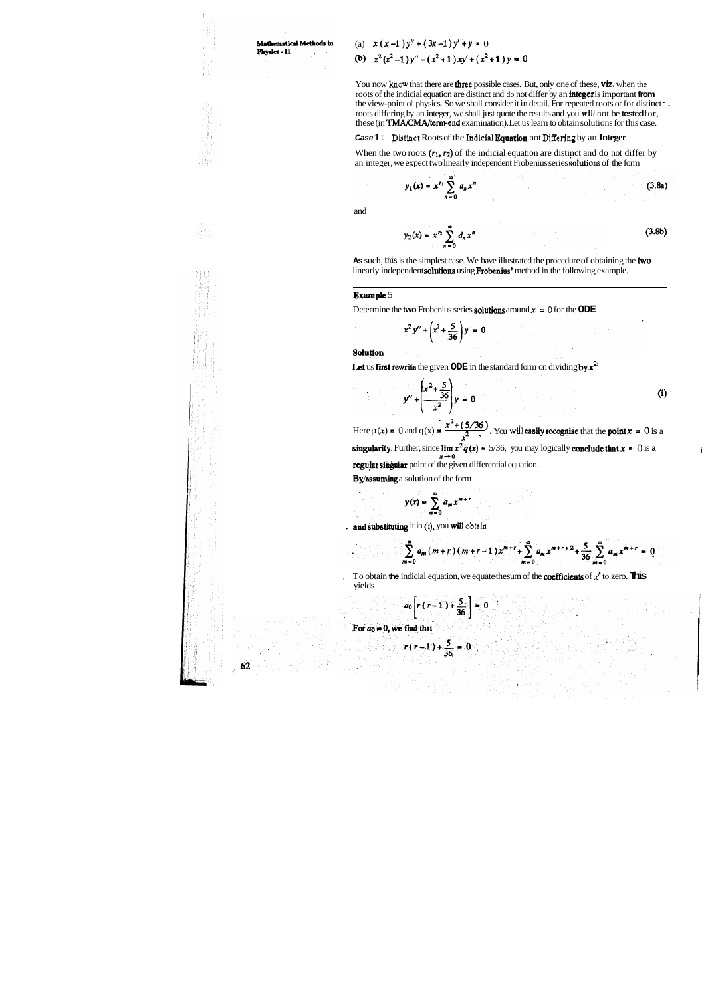## Mathematical Methods in Physics - II

∄ J

## (a)  $x(x-1)y'' + (3x-1)y' + y = 0$ **(b)**  $x^2(x^2-1)y''-(x^2+1)xy'+(x^2+1)y=0$

You now know that there are **three** possible cases. But, only one of these, viz. when the roots of the indicial equation are distinct and do not differ by an integer is important **from**  the view-point of physics. So we shall consider it in detail. For repeated roots or for distinct ' . roots differing by an integer, we shall just quote the results and you **wiU** not be **tested** for, these (in **TMA/CMA/term-end** examination). Let us learn to obtain solutions for this case.

**As** such, **this** is the simplest case. We have illustrated the procedure of obtaining the two linearly independent solutions using Frobenius' method in the following example.

### **Case** 1 : **Distinct** Roots of the **Indiclal** Equatlon not **Differing** by an **Integer**

When the two roots  $(r_1, r_2)$  of the indicial equation are distinct and do not differ by an integer, we expect two linearly independent Frobenius series **solutions** of the form

$$
y_1(x) = x^{r_1} \sum_{n=0}^{\infty} a_n x^n
$$
 (3.8a)

To obtain **the** indicial equation, we equate the sum of the **coefficients** of  $x'$  to zero. **This** yields

$$
a_0 \left[ r \left( r-1 \right) + \frac{5}{36} \right] = 0
$$

For  $a_0 = 0$ , we find that

$$
r(r-1)+\frac{5}{36}=0
$$

62

and

$$
y_2(x) = x^n \sum_{n=0}^{\infty} d_n x^n
$$
 (3.8b)

#### **Example** 5

Determine the **two** Frobenius series **solutions** around  $x = 0$  for the **ODE** 

$$
x^2 y'' + \left(x^2 + \frac{5}{36}\right)y = 0
$$

Solution

Let us first rewrite the given ODE in the standard form on dividing by  $x^2$ 

$$
y'' + \left(\frac{x^2 + \frac{5}{36}}{x^2}\right)y = 0
$$
 (i)

Here  $p(x) = 0$  and  $q(x) = \frac{x^2 + (5/36)}{x^2}$ . You will **easily recognise** that the **point**  $x = 0$  is a **singularity.** Further, since  $\lim_{x \to 0} x^2 q(x) = 5/36$ , you may logically conclude that  $x = 0$  is a regular singular point of the given differential equation.

By/assuming a solution of the form

$$
y(x) = \sum_{m=0}^{\infty} a_m x^{m+r}
$$

<sup>+</sup>ad substituting it in **(I),** you will **obtain** 

 $\sum_{m=0}^{\infty} a_m (m+r) (m+r-1) x^{m+r} + \sum_{m=0}^{\infty} a_m x^{m+r+2} + \frac{5}{36} \sum_{m=0}^{\infty} a_m x^{m+r} = 0$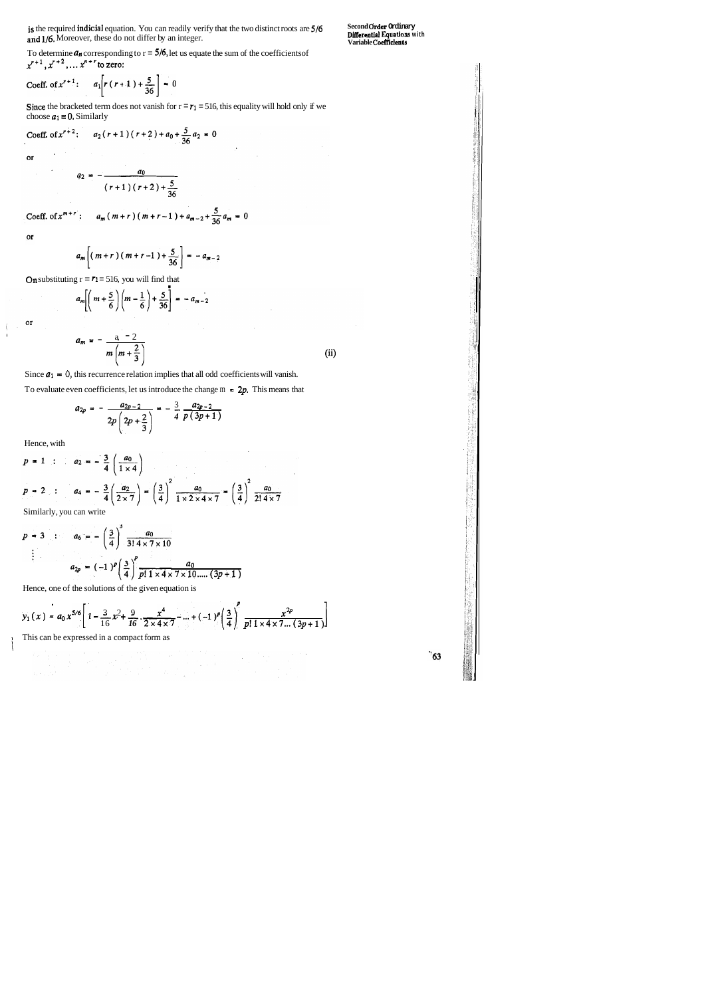is the required indicial equation. You can readily verify that the two distinct roots are  $5/6$ and 1/6. Moreover, these do not differ by an integer.

**Second Order Ordinary<br>Differential Equations with<br>Variable Coefficients** 

To determine  $a_n$  corresponding to  $r = 5/6$ , let us equate the sum of the coefficients of  $x^{r+1}, x^{r+2}, \ldots x^{n+r}$  to zero:

Coeff. of 
$$
x^{r+1}
$$
:  $a_1[r(r+1)+\frac{5}{36}] = 0$ 

Since the bracketed term does not vanish for  $r = r_1 = 516$ , this equality will hold only if we choose  $a_1 = 0$ . Similarly

Coeff. of 
$$
x^{r+2}
$$
:  $a_2(r+1)(r+2) + a_0 + \frac{5}{36}a_2 = 0$ 

 $\alpha$ 

$$
a_2 = -\frac{a_0}{(r+1)(r+2)+\frac{5}{36}}
$$

Coeff. of 
$$
x^{m+r}
$$
:  $a_m(m+r)(m+r-1) + a_{m-2} + \frac{5}{36}a_m = 0$ 

 $or$ 

or

l

$$
a_m \left[ \left( m + \frac{5}{6} \right) \left( m - \frac{1}{6} \right) + \frac{5}{36} \right] = -a_{m-2}
$$
  

$$
a_m = -\frac{a}{m} \left( m + \frac{2}{3} \right)
$$
 (ii)

Since  $a_1 = 0$ , this recurrence relation implies that all odd coefficients will vanish. To evaluate even coefficients, let us introduce the change  $m = 2p$ . This means that

$$
a_{2p} = -\frac{a_{2p-2}}{2p\left(2p+\frac{2}{3}\right)} = -\frac{3}{4}\frac{a_{2p-2}}{p(3p+1)}
$$

Hence, with

$$
p = 1 : a_2 = -\frac{3}{4} \left( \frac{a_0}{1 \times 4} \right)
$$
  

$$
p = 2 : a_4 = -\frac{3}{4} \left( \frac{a_2}{2 \times 7} \right) = \left( \frac{3}{4} \right)^2 \frac{a_0}{1 \times 2 \times 4 \times 7} = \left( \frac{3}{4} \right)^2 \frac{a_0}{2! \times 7}
$$
  
Similarly you can write

Similarly, you can write

$$
p = 3 : a_6 = -\left(\frac{3}{4}\right)^3 \frac{a_0}{3! \, 4 \times 7 \times 10}
$$
  
 
$$
\vdots
$$
  
 
$$
a_{2p} = (-1)^p \left(\frac{3}{4}\right)^p \frac{a_0}{p! \, 1 \times 4 \times 7 \times 10 \dots (3p+1)}
$$

Hence, one of the solutions of the given equation is

$$
y_1(x) = a_0 x^{5/6} \left[ 1 - \frac{3}{16} x^2 + \frac{9}{16} \cdot \frac{x^4}{2 \times 4 \times 7} - \dots + (-1)^p \left( \frac{3}{4} \right)^p \frac{x^{2p}}{p! \cdot 1 \times 4 \times 7 \dots (3p+1)} \right]
$$

I This can be expressed in a compact form as

 $\degree$ 63

I I

$$
a_m \left[ \left( \, m + r \, \right) \left( \, m + r - 1 \, \right) + \frac{5}{36} \, \right] = -a_{m-2}
$$

On substituting  $r = r_1 = 516$ , you will find that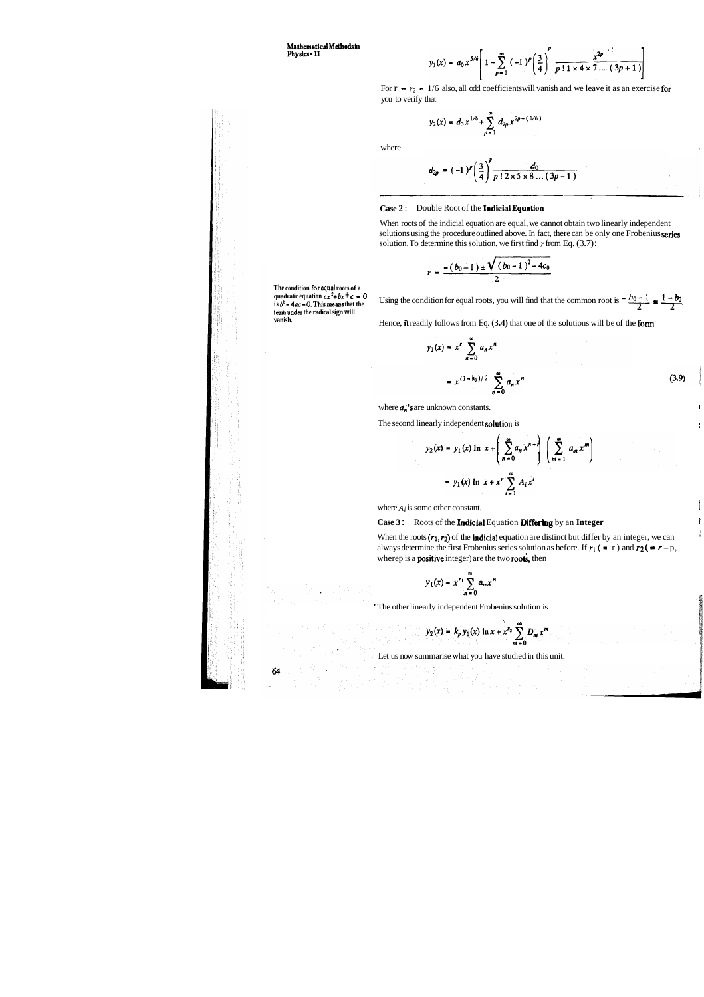**Matbematid Methods in Physlca** - **I1** 

$$
y_1(x) = a_0 x^{5/6} \left[ 1 + \sum_{p=1}^{\infty} (-1)^p \left( \frac{3}{4} \right)^p \frac{x^{2p}}{p \mid 1 \times 4 \times 7 \dots (3p+1)}
$$

For  $r = r_2 = 1/6$  also, all odd coefficients will vanish and we leave it as an exercise for you to verify that

$$
y_2(x) = d_0 x^{1/6} + \sum_{p=1}^{\infty} d_{2p} x^{2p + (1/6)}
$$

where

$$
d_{2p} = (-1)^p \left(\frac{3}{4}\right)^p \frac{d_0}{p!2 \times 5 \times 8 \dots (3p-1)}
$$

#### **Case 2** : Double Root of the Indicia1 Equation

 $\bullet$ 

When roots of the indicial equation are equal, we cannot obtain two linearly independent solutions using the procedure outlined above. In fact, there can be only one Frobenius series solution. To determine this solution, we first find *r* from Eq. (3.7) :

$$
r = \frac{- (b_0 - 1) \pm \sqrt{(b_0 - 1)^2 - 4c_0}}{2}
$$

**The condition for equal roots of a**  quadratic equation  $ax^2+bx+c=0$  $\mathbf{i} \cdot \mathbf{j} \cdot \mathbf{k}^2 - 4ac = 0$ . **This means** that the **term under the radical sign will vanish.** 

Using the condition for equal roots, you will find that the common root is  $\frac{b_0 - 1}{2} = \frac{1 - b_0}{2}$ .

Hence, ft readily follows from Eq. **(3.4)** that one of the solutions will be of the form

$$
y_1(x) = x^r \sum_{n=0}^{\infty} a_n x^n
$$
  
=  $x^{(1-b_0)/2} \sum_{n=0}^{\infty} a_n x^n$  (3.9)

where  $a_n$ 's are unknown constants.

The second linearly independent solution is

$$
y_2(x) = y_1(x) \ln x + \left(\sum_{n=0}^{\infty} a_n x^{n+r}\right) \left(\sum_{m=1}^{\infty} a_m x^m\right)
$$

$$
= y_1(x) \ln x + x^r \sum_{i=1}^{\infty} A_i x^i
$$

where  $A_i$  is some other constant.

### **Case 3:** Roots of the **Indicial** Equation **Differing** by an **Integer**

When the roots  $(r_1, r_2)$  of the **indicial** equation are distinct but differ by an integer, we can always determine the first Frobenius series solution as before. If  $r_1$  ( $= r$ ) and  $r_2$  ( $= r - p$ , wherep is a **positive** integer) are the two roots, then

$$
y_1(x) = x^{r_1} \sum_{n=0}^{m} a_n x^n
$$

' The other linearly independent Frobenius solution is

$$
y_2(x) = k_p y_1(x) \ln x + x^{r_2} \sum_{m=0}^{\infty} D_m x^m
$$

Let us now summarise what you have studied in this unit.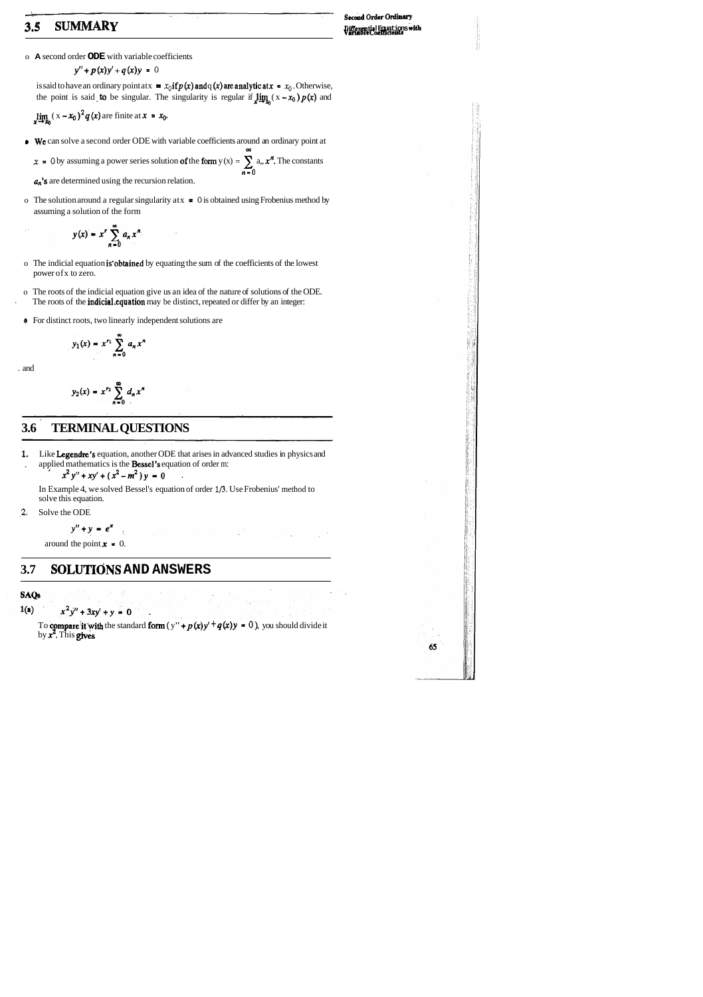# **3.5 SUMMARY**<br> **3.5 SUMMARY**<br>
Differential Fact Lines with

o **A** second order **ODE** with variable coefficients

$$
y'' + p(x)y' + q(x)y = 0
$$

is said to have an ordinary point at  $x = x_0$  **if**  $p(x)$  **and q (x) are analyticat**  $x = x_0$ . Otherwise, the point is said **to** be singular. The singularity is regular if  $\lim_{x \to x_0} (x - x_0) p(x)$  and

 $\lim_{x \to x_0} (x - x_0)^2 q(x)$  are finite at  $x = x_0$ .

 $x = 0$  by assuming a power series solution of the form  $y(x) = \sum_{n=1}^{\infty} a_n x^n$ . The constants n-0

 $a_n$ 's are determined using the recursion relation.

**a** We can solve a second order ODE with variable coefficients around an ordinary point at

m

o The solution around a regular singularity atx = **0** is obtained using Frobenius method by assuming a solution of the form

$$
y(x) = x^r \sum_{n=0}^{\infty} a_n x^n
$$

- o The indicial equation is'obtained by equating the sum of the coefficients of the lowest power ofx to zero.
- o The roots of the indicial equation give us an idea of the nature of solutions of the ODE. The roots of the *indicial.equation* may be distinct, repeated or differ by an integer:
- **e** For distinct roots, two linearly independent solutions are

$$
y_1(x) = x^{r_1} \sum_{n=0}^{\infty} a_n x^n
$$

. and

$$
y_2(x) = x^{r_2} \sum_{n=0}^{\infty} d_n x^n
$$

## **3.6 TERMINAL QUESTIONS**

**1,** Like Legendre's equation, another ODE that arises in advanced studies in physics and . applied mathematics is the Bessel's equation of order m:

 $x^2y'' + xy' + (x^2-m^2)y = 0$  .

In Example 4, we solved Bessel's equation of order **1/3.** Use Frobenius' method to solve this equation.

**,2.** Solve the ODE

 $y'' + y = e^x$ 

around the point  $\mathbf{x} = 0$ .

## **3.7 SOLUTIC)NS AND ANSWERS**

**SAQs** 

 $x^2y'' + 3xy' + y = 0$  $1(a)$ 

To **compare it with** the standard **form**  $(y'' + p(x)y' + q(x)y = 0)$ , you should divide it by  $x^2$ . This gives

 $\mathcal{L}_{\mathcal{A}}$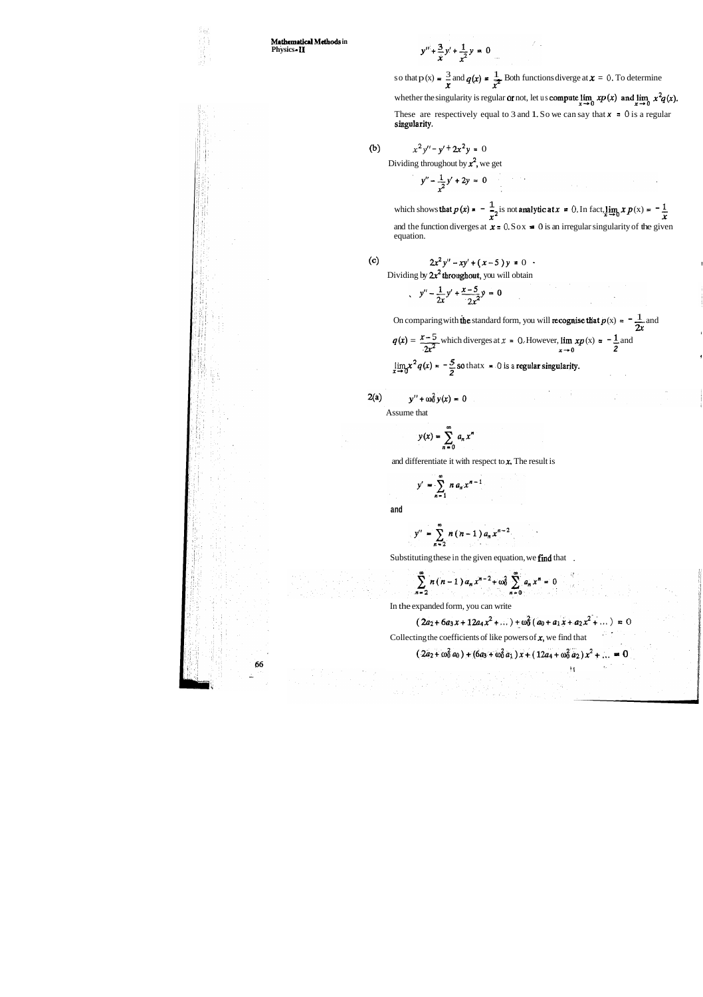S.,

**Mathematical Methods in Physics** - **11** 

$$
y'' + \frac{3}{x}y' + \frac{1}{x^2}y = 0
$$

 $y'' + \frac{3}{x}y' + \frac{1}{x^2}y = 0$ <br>
so that p (x) =  $\frac{3}{x}$  and  $q(x) = \frac{1}{x^2}$  Both functions diverge at  $x = 0$ . To determine  $x$   $\overline{x^2}$ whether the singularity is regular or not, let us compute  $\lim_{x\to 0} xp(x)$  and  $\lim_{x\to 0} x^2q(x)$ . These are respectively equal to 3 and 1. So we can say that  $x = 0$  is a regular singularity.

(b)  $x^2y'' - y' + 2x^2y = 0$ 

Dividing throughout by  $x^2$ , we get

 $y'' - \frac{1}{x^2}y' + 2y = 0$ 

which shows that  $p(x) = -\frac{1}{x^2}$  is not analytic at  $x = 0$ . In fact,  $\lim_{x \to 0} x p(x) = -\frac{1}{x}$ and the function diverges at  $x = 0.50x = 0$  is an irregular singularity of the given equation.

(c) 
$$
2x^2y'' - xy' + (x-5)y = 0
$$

Dividing by 
$$
2x^2
$$
 throughout, you will obtain

$$
y'' - \frac{1}{2x}y' + \frac{x-5}{2x^2}y = 0
$$

On comparing with the standard form, you will recognise that  $p(x) = -\frac{1}{2x}$  and  $2x$  $x-5$  which diverges at  $x = 0$ . However,  $\lim_{x \to 0} x p(x) = -1$  and On comparing with the standard form, you will recognise that  $p(x) = -q(x) = \frac{x-5}{2x^2}$  which diverges at  $x = 0$ . However, lim  $xp(x) = -\frac{1}{2}$  and

$$
q(x) = \frac{2}{2x^2}
$$
 which diverges at  $x = 0$ . However,  $\lim_{x\to 0} xp(x) = -\frac{1}{2}$  and  
\n
$$
\lim_{x\to 0} x^2 q(x) = -\frac{5}{2}
$$
 so that  $x = 0$  is a regular singularity.

$$
2(a) \t y'' + \omega_0^2 y(x) = 0
$$

Assume that

 $y(x) = \sum_{n=0}^{\infty} a_n x^n$ 

and differentiate it with respect to  $x$ . The result is

 $y' = \sum_{n=1}^{\infty} n a_n x^{n-1}$ 

**and** 

$$
y'' = \sum_{n=2}^{\infty} n(n-1) a_n x^{n-2}
$$

Substituting these in the given equation, we find that .

 $\sum_{n=2}^{\infty} n(n-1) a_n x^{n-2} + \omega_0^2 \sum_{n=0}^{\infty} a_n x^n = 0$ 

In the expanded form, you can write

$$
(2a_2 + 6a_3x + 12a_4x^2 + \dots) + \omega_0^2(a_0 + a_1x + a_2x^2 + \dots) = 0
$$
  
Collecting the coefficients of like powers of **x**, we find that

$$
(2a_2 + \omega_0^2 a_0) + (6a_3 + \omega_0^2 a_1) x + (12a_4 + \omega_0^2 a_2) x^2 + ... = 0
$$

**'1**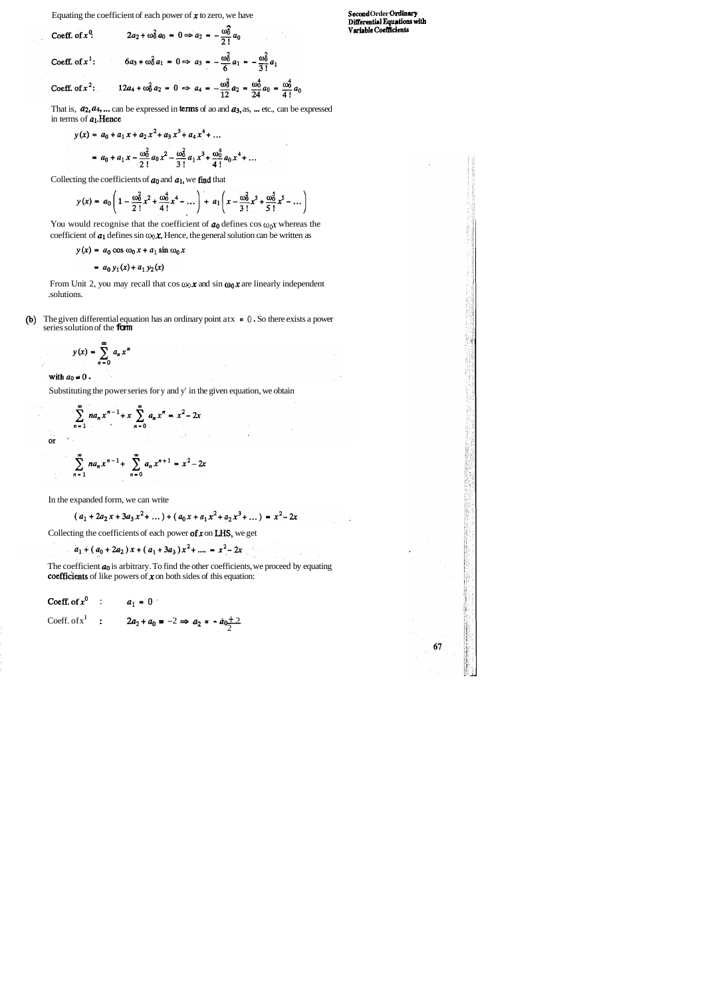Equating the coefficient of each power of  $x$  to zero, we have

Coeff. of 
$$
x^0
$$
:  
\n $2a_2 + \omega_0^2 a_0 = 0 \Rightarrow a_2 = -\frac{\omega_0^2}{2!} a_0$   
\nCoeff. of  $x^1$ :  
\n $6a_3 + \omega_0^2 a_1 = 0 \Rightarrow a_3 = -\frac{\omega_0^2}{6} a_1 = -\frac{\omega_0^2}{3!} a_1$   
\nCoeff. of  $x^2$ :  
\n $12a_4 + \omega_0^2 a_2 = 0 \Rightarrow a_4 = -\frac{\omega_0^2}{12} a_2 = \frac{\omega_0^4}{24} a_0 = \frac{\omega_0^4}{4!} a_0$ 

That is,  $a_2, a_4, \ldots$  can be expressed in terms of ao and  $a_3$ , as,  $\ldots$  etc., can be expressed in terms of  $a_1$ . Hence

$$
y(x) = a_0 + a_1 x + a_2 x^2 + a_3 x^3 + a_4 x^4 + \dots
$$
  
=  $a_0 + a_1 x - \frac{\omega_0^2}{2!} a_0 x^2 - \frac{\omega_0^2}{3!} a_1 x^3 + \frac{\omega_0^4}{4!} a_0 x^4 + \dots$ 

Collecting the coefficients of  $a_0$  and  $a_1$ , we find that

$$
y(x) = a_0 \left( 1 - \frac{\omega_0^2}{2!} x^2 + \frac{\omega_0^4}{4!} x^4 - \dots \right) + a_1 \left( x - \frac{\omega_0^2}{3!} x^3 + \frac{\omega_0^5}{5!} x^5 - \dots \right)
$$

You would recognise that the coefficient of  $a_0$  defines cos  $\omega_0 x$  whereas the coefficient of  $a_1$  defines sin  $\omega_0 \mathbf{x}$ . Hence, the general solution can be written as

 $y(x) = a_0 \cos \omega_0 x + a_1 \sin \omega_0 x$ 

$$
= a_0 y_1(x) + a_1 y_2(x)
$$

**Secood Order Olrdinvy DiEemtinl Equ~tlons with Varbblc CocMdents** 

67

From Unit 2, you may recall that  $\cos \omega_0 \mathbf{x}$  and  $\sin \omega_0 \mathbf{x}$  are linearly independent .solutions.

@) The given differential equation has an ordinary point atx = **<sup>0</sup>**. So there exists a power series solution of the **form** 

$$
y(x) = \sum_{n=0}^{\infty} a_n x^n
$$

with  $a_0 \neq 0$ .

Substituting the power series for y and y' in the given equation, we obtain

$$
\sum_{n=1}^{\infty} na_n x^{n-1} + x \sum_{n=0}^{\infty} a_n x^n = x^2 - 2x
$$
or

$$
\sum_{n=1}^{\infty} na_n x^{n-1} + \sum_{n=0}^{\infty} a_n x^{n+1} = x^2 - 2x
$$

In the expanded form, we can write

$$
(a_1 + 2a_2x + 3a_3x^2 + \dots) + (a_0x + a_1x^2 + a_2x^3 + \dots) = x^2 - 2x
$$

Collecting the coefficients of each power of  $x$  on LHS, we get

 $a_1 + (a_0 + 2a_2)x + (a_1 + 3a_3)x^2 + \dots = x^2 - 2x$ 

The coefficient  $a_0$  is arbitrary. To find the other coefficients, we proceed by equating coefficients of like powers of  $x$  on both sides of this equation:

**Coeff.** of 
$$
x^0
$$
 :  $a_1 = 0$   
Coeff. of  $x^1$  :  $2a_2 + a_0 = -2 \Rightarrow a_2 = -a_0 \pm 2$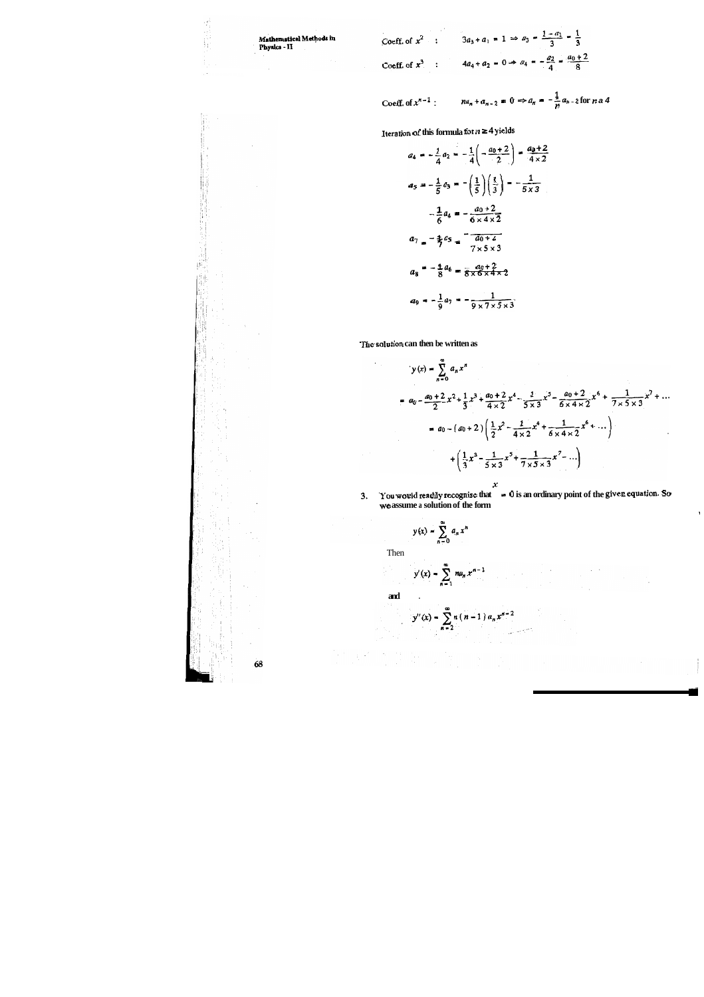

68

挑



Coeff. of 
$$
x^{n-1}
$$
:  $na_n + a_{n-2} = 0 \Rightarrow a_n = -\frac{1}{n}a_{n-2}$  for  $n \neq 4$ 

**Iteration of this formula for**  $n \geq 4$  **yields** 

$$
a_4 = -\frac{1}{4}a_2 = -\frac{1}{4}\left(-\frac{a_0+2}{2}\right) = \frac{a_0+2}{4\times2}
$$
  

$$
a_5 = -\frac{1}{5}a_3 = -\left(\frac{1}{5}\right)\left(\frac{1}{3}\right) = -\frac{1}{5\times3}
$$
  

$$
-\frac{1}{6}a_4 = -\frac{a_0+2}{6\times4\times2}
$$
  

$$
a_7 = -\frac{1}{7}a_5 = -\frac{a_0+2}{7\times5\times3}
$$
  

$$
a_8 = -\frac{1}{8}a_6 = \frac{a_0+2}{8\times6\times4\times2}
$$
  

$$
a_9 = -\frac{1}{9}a_7 = -\frac{1}{9\times7\times5\times3}
$$

The solution can then be written as

 $\cdot$ 

$$
y(x) = \sum_{n=0}^{\infty} a_n x^n
$$
  
=  $a_0 - \frac{a_0 + 2}{2} x^2 + \frac{1}{3} x^3 + \frac{a_0 + 2}{4 \times 2} x^4 - \frac{1}{5 \times 3} x^5 - \frac{a_0 + 2}{6 \times 4 \times 2} x^6 + \frac{1}{7 \times 5 \times 3} x^7 + \cdots$   
=  $a_0 - (a_0 + 2) \left( \frac{1}{2} x^2 - \frac{1}{4 \times 2} x^4 + \frac{1}{6 \times 4 \times 2} x^6 + \cdots \right)$   
+  $\left( \frac{1}{3} x^3 - \frac{1}{5 \times 3} x^5 + \frac{1}{7 \times 5 \times 3} x^7 - \cdots \right)$ 

**3. you would radily recognise that x** = **0 is an ordinary point of the given equation So we assume a solution of the form** 

I

$$
y(x) = \sum_{n=0}^{\infty} a_n x^n
$$

Then

98.)<br>P

$$
y'(x) = \sum_{n=1}^{\infty} n a_n x^{n-1}
$$

**and** .

$$
y''(x) = \sum_{n=2}^{\infty} n(n-1) a_n x^{n-2}
$$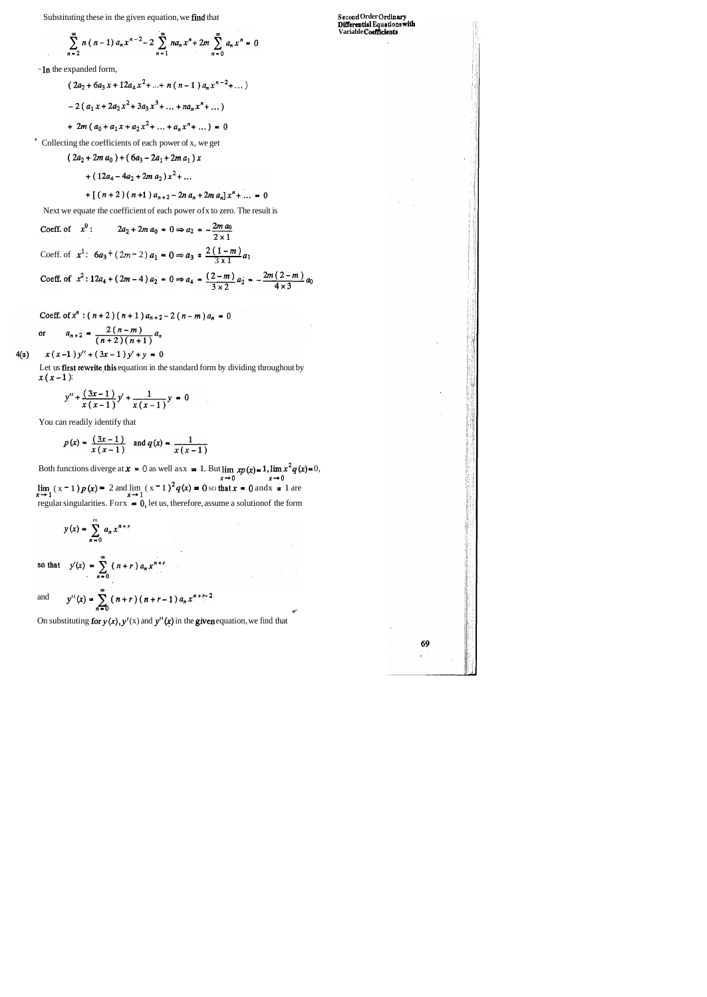**Diffcrmtial EquaUons 4th Variable Coefficients** 

69  $\overline{a}$ 

 $\varphi^{\prime}$ 

Substituting these in the given equation, we find that

$$
\sum_{n=2}^{\infty} n (n-1) a_n x^{n-2} - 2 \sum_{n=1}^{\infty} n a_n x^n + 2m \sum_{n=0}^{\infty} a_n x^n = 0
$$

- In the expanded form,

$$
(2a_2 + 6a_3 x + 12a_4 x^2 + \dots + n(n-1) a_n x^{n-2} + \dots)
$$
  
- 2 (a\_1 x + 2a\_2 x^2 + 3a\_3 x^3 + \dots + na\_n x^n + \dots)

+ 
$$
2m(a_0 + a_1x + a_2x^2 + ... + a_nx^n + ...)=0
$$

' Collecting the coefficients of each power of x, we get

$$
(2a2 + 2m a0) + (6a3 - 2a1 + 2m a1) x
$$
  
+ (12a<sub>4</sub> - 4a<sub>2</sub> + 2m a<sub>2</sub>) x<sup>2</sup> + ...  
+ [(n + 2) (n + 1) a<sub>n+2</sub> - 2n a<sub>n</sub> + 2m a<sub>n</sub>] x<sup>n</sup> + ... = 0

Next we equate the coefficient of each power ofx to zero. The result is

Coeff. of 
$$
x^0
$$
:  $2a_2 + 2m a_0 = 0 \Rightarrow a_2 = -\frac{2m a_0}{2 \times 1}$   
\nCoeff. of  $x^1$ :  $6a_3 + (2m - 2) a_1 = 0 \Rightarrow a_3 = \frac{2(1 - m)}{3 \times 1} a_1$   
\nCoeff. of  $x^2$ :  $12a_4 + (2m - 4) a_2 = 0 \Rightarrow a_4 = \frac{(2 - m)}{3 \times 2} a_2 = -\frac{2m (2 - m)}{4 \times 3} a_0$ 

Coeff. of 
$$
x^n
$$
:  $(n+2)(n+1)a_{n+2}-2(n-m)a_n = 0$   
or  $a_{n+2} = \frac{2(n-m)}{(n+2)(n+1)}a_n$ 

 $4(a)$  $x(x-1)y'' + (3x-1)y' + y = 0$ 

> Let us first rewrite this equation in the standard form by dividing throughout by  $x(x - 1)$ :

$$
y'' + \frac{(3x-1)}{x(x-1)}y' + \frac{1}{x(x-1)}y = 0
$$

You can readily identify that

$$
p(x) = \frac{(3x-1)}{x(x-1)}
$$
 and  $q(x) = \frac{1}{x(x-1)}$ 

Both functions diverge at  $x = 0$  as well asx  $= 1$ . But  $\lim_{x\to 0} xp(x)=1$ ,  $\lim_{x\to 0} x^2q(x)=0$ ,  $\lim_{x \to 1} (x-1)p(x) = 2$  and  $\lim_{x \to 1} (x-1)^2 q(x) = 0$  so that  $x = 0$  and  $x = 1$  are regular singularities. For  $x = 0$ , let us, therefore, assume a solution of the form

$$
y(x) = \sum_{n=0}^{m} a_n x^{n+r}
$$

so that 
$$
y'(x) = \sum_{n=0}^{\infty} (n+r) a_n x^{n+r}
$$
  
and  $y''(x) = \sum_{n=0}^{\infty} (n+r) (n+r-1) a_n x^{n+r-2}$ 

On substituting for  $y(x)$ ,  $y'(x)$  and  $y''(x)$  in the given equation, we find that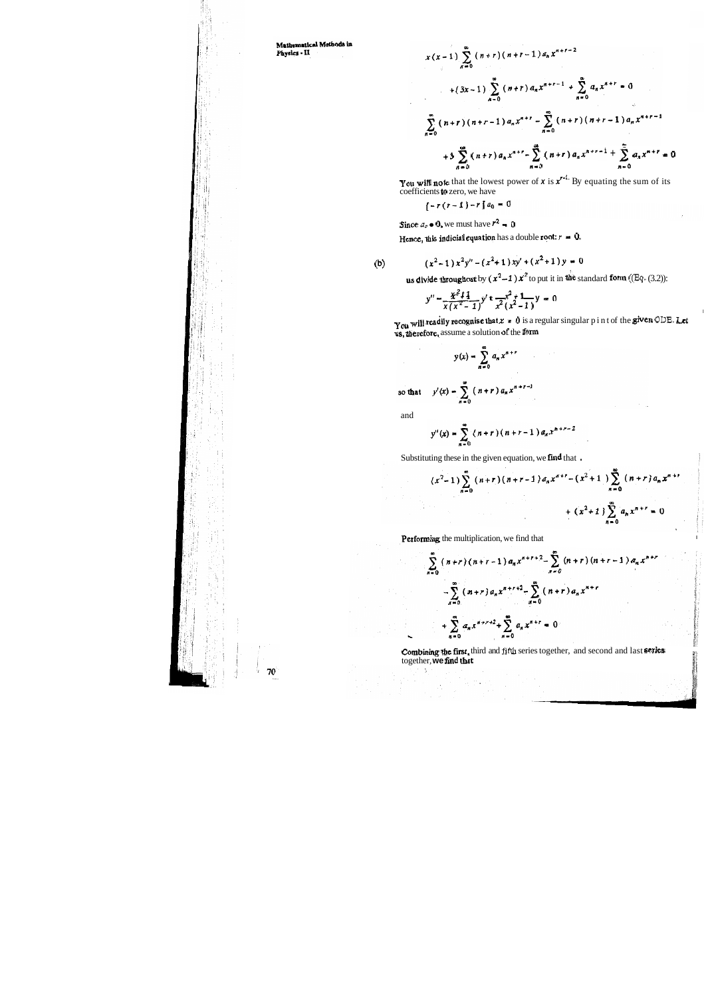Mathematical Methods in Physics - II

$$
x(x-1) \sum_{n=0}^{\infty} (n+r) (n+r-1) a_n x^{n+r-2}
$$
  
+  $(3x-1) \sum_{n=0}^{\infty} (n+r) a_n x^{n+r-1} + \sum_{n=0}^{\infty} a_n x^{n+r} = 0$   

$$
\sum_{n=0}^{\infty} (n+r) (n+r-1) a_n x^{n+r} - \sum_{n=0}^{\infty} (n+r) (n+r-1) a_n x^{n+r-1}
$$
  
+  $3 \sum_{n=0}^{\infty} (n+r) a_n x^{n+r} - \sum_{n=0}^{\infty} (n+r) a_n x^{n+r-1} + \sum_{n=0}^{\infty} a_n x^{n+r} = 0$ 

You will note that the lowest power of  $x$  is  $x^{r-1}$  By equating the sum of its coefficients **to** zero, we have

 $\left[\begin{smallmatrix} -r(r-1)-r \end{smallmatrix}\right]a_0=0$ 

Since  $a_o \bullet 0$ , we must have  $r^2 = 0$ 

Hence, this indicial equation has a double root:  $r = 0$ .

(b) 
$$
(x^2-1)x^2y''-(x^2+1)xy'+(x^2+1)y=0
$$

**us divide throughout** by  $(x^2-1) x^2$  to put it in the standard form ((Eq. (3.2)):

$$
y'' - \frac{x^2 + 1}{x(x^2 - 1)} y' + \frac{x^2 + 1}{x^2(x^2 - 1)} y = 0
$$

You will readily recognise that  $x = 0$  is a regular singular p int of the given ODE. Let us, therefore, assume a solution of the form

$$
y(x) = \sum_{n=0}^{\infty} a_n x^{n+r}
$$

so that  $y'(x) = \sum_{n=0}^{\infty} (n+r) a_n x^{n+r-1}$ 

and

-5

$$
y''(x) = \sum_{n=0}^{\infty} (n+r)(n+r-1) a_n x^{n+r-2}
$$

Substituting these in the given equation, we find that.

$$
(x^{2}-1)\sum_{n=0}^{\infty} (n+r)(n+r-1) a_{n}x^{n+r} - (x^{2}+1)\sum_{n=0}^{\infty} (n+r) a_{n}x^{n+r} + (x^{2}+1)\sum_{n=0}^{\infty} a_{n}x^{n+r} = 0
$$

Performing the multiplication, we find that

$$
\sum_{n=0}^{\infty} (n+r) (n+r-1) a_n x^{n+r+2} - \sum_{n=0}^{\infty} (n+r) (n+r-1) a_n x^{n+r}
$$

$$
- \sum_{n=0}^{\infty} (n+r) a_n x^{n+r+2} - \sum_{n=0}^{\infty} (n+r) a_n x^{n+r}
$$

$$
+ \sum_{n=0}^{\infty} a_n x^{n+r+2} + \sum_{n=0}^{\infty} a_n x^{n+r} = 0
$$

**Combining the first,** third and fifth series together, and second and last **series** together, **we find that** figures to the final second and last **series** 

**Financial Property**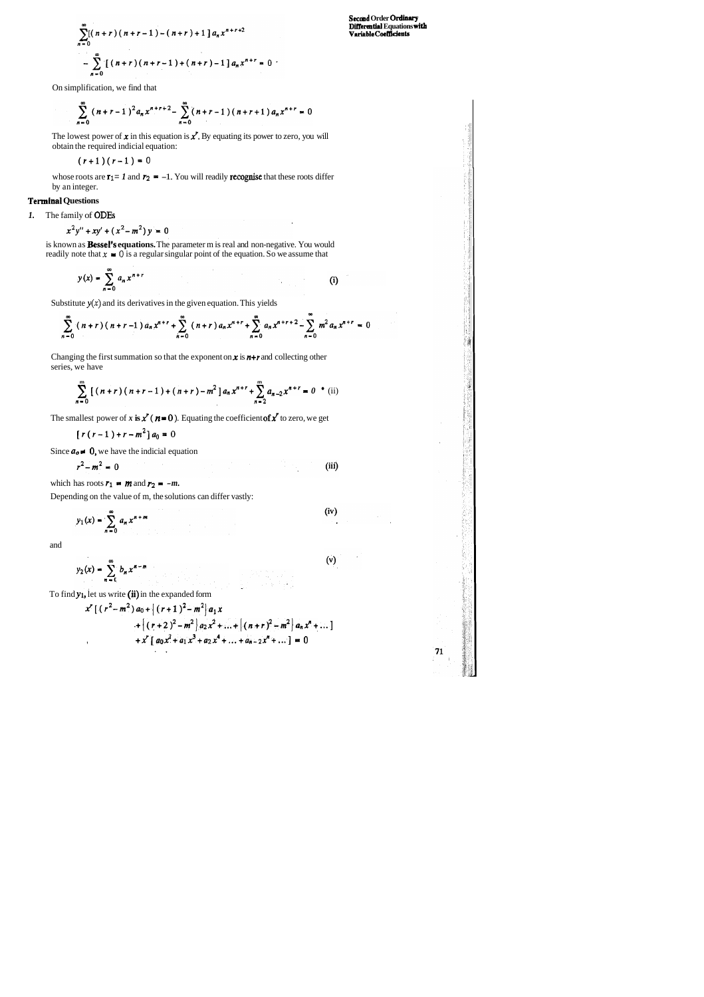$$
\sum_{n=0}^{\infty} [(n+r)(n+r-1) - (n+r) + 1] a_n x^{n+r+2}
$$
  
 
$$
- \sum_{n=0}^{\infty} [(n+r)(n+r-1) + (n+r) - 1] a_n x^{n+r} = 0
$$

On simplification, we find that

$$
\sum_{n=0}^{\infty} (n+r-1)^2 a_n x^{n+r+2} - \sum_{n=0}^{\infty} (n+r-1) (n+r+1) a_n x^{n+r} = 0
$$

**Secmd Order 0rxUnm-y Differential Equations with Variable CocBdenb** 

71

The lowest power of **x** in this equation is **x'**. By equating its power to zero, you will obtain the required indicial equation:

whose roots are  $\mathbf{r}_1 = I$  and  $\mathbf{r}_2 = -1$ . You will readily **recognise** that these roots differ by an integer.

is known as **Bessel's equations.** The parameter m is real and non-negative. You would readily note that  $x = 0$  is a regular singular point of the equation. So we assume that

$$
y(x) = \sum_{n=0}^{\infty} a_n x^{n+r}
$$
 (i)

Substitute  $y(x)$  and its derivatives in the given equation. This yields

$$
\sum_{n=0}^{\infty} (n+r)(n+r-1) a_n x^{n+r} + \sum_{n=0}^{\infty} (n+r) a_n x^{n+r} + \sum_{n=0}^{\infty} a_n x^{n+r+2} - \sum_{n=0}^{\infty} m^2 a_n x^{n+r} = 0
$$

$$
(r+1)(r-1)=0
$$

## **Terminal Questions**

*1.* The family of ODES

$$
x^2y'' + xy' + (x^2 - m^2)y = 0
$$

Changing the first summation so that the exponent on *x* is *n+r* and collecting other series, we have

$$
\sum_{n=0}^{m} \left[ (n+r)(n+r-1) + (n+r) - m^2 \right] a_n x^{n+r} + \sum_{n=2}^{m} a_{n-2} x^{n+r} = 0
$$
 (ii)

The smallest power of x **is**  $x'$  ( $n = 0$ ). Equating the coefficient of x' to zero, we get

$$
[r(r-1)+r-m^2]a_0=0
$$

Since  $a_0 \neq 0$ , we have the indicial equation

$$
r^2 - m^2 = 0 \tag{iii}
$$

which has roots  $r_1$  **= m** and  $r_2$  **= -m.** 

Depending on the value of m, the solutions can differ vastly:

$$
y_1(x) = \sum_{n=0}^{\infty} a_n x^{n+m}
$$
 (iv)

and

$$
y_2(x) = \sum_{n=0}^{\infty} b_n x^{n-m}
$$
 (v)

To find **y<sub>1</sub>**, let us write (ii) in the expanded form

$$
x^{r}[(r^{2}-m^{2}) a_{0} + [(r+1)^{2}-m^{2}] a_{1}x + [(r+2)^{2}-m^{2}] a_{2}x^{2} + ... + [(n+r)^{2}-m^{2}] a_{n}x^{n} + ...]
$$
  
+  $x^{r} [ a_{0}x^{2} + a_{1}x^{3} + a_{2}x^{4} + ... + a_{n-2}x^{n} + ... ] = 0$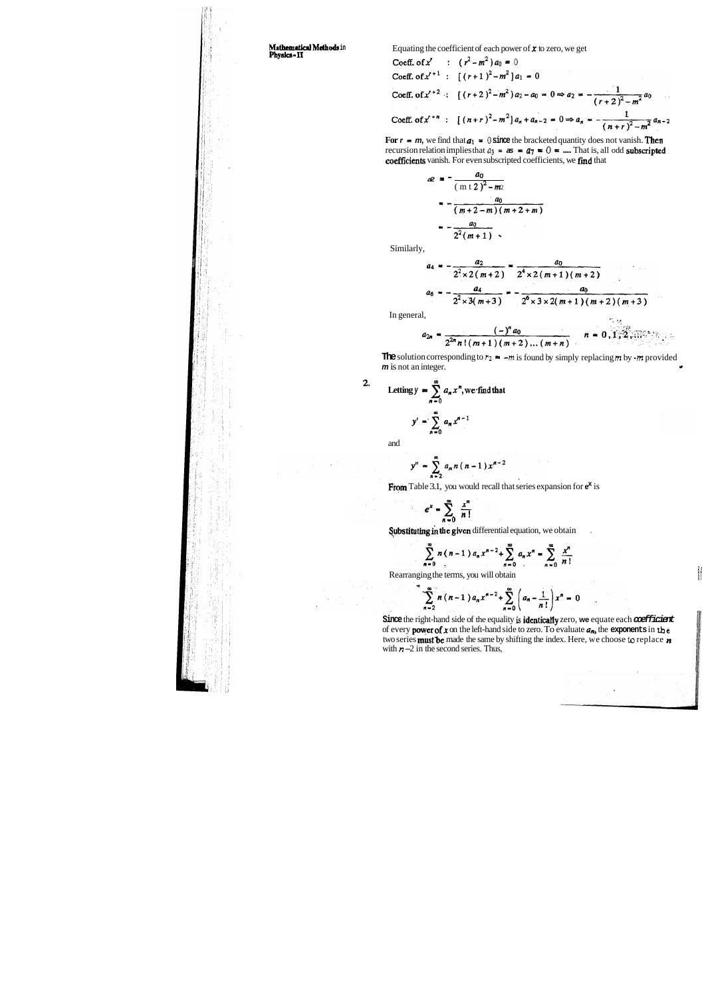**Mathematical Methods** in **Equating the coefficient of each power of**  $\boldsymbol{x}$  **to zero, we get <b>Physics - II** 

Coeff. of x' : 
$$
(r^2 - m^2) a_0 = 0
$$
  
\nCoeff. of x'<sup>+1</sup> :  $[(r+1)^2 - m^2] a_1 = 0$   
\nCoeff. of x'<sup>+2</sup> :  $[(r+2)^2 - m^2) a_2 - a_0 = 0 \Rightarrow a_2 = -\frac{1}{(r+2)^2 - m^2} a_0$   
\nCoeff. of x'<sup>+n</sup> :  $[(n+r)^2 - m^2] a_n + a_{n-2} = 0 \Rightarrow a_n = -\frac{1}{(n+r)^2 - m^2} a_{n-2}$ 

For  $r = m$ , we find that  $a_1 = 0$  since the bracketed quantity does not vanish. Then recursion relation implies that  $a_3 = \mathbf{a} = a_7 = 0$ . That is, all odd **subscripted** coefficients vanish. For even subscripted coefficients, we fmd that

$$
a^{2} = \frac{a_0}{(m+2)^2 - m_2}
$$
  
= 
$$
-\frac{a_0}{(m+2-m)(m+2+m)}
$$
  
= 
$$
-\frac{a_0}{2^2(m+1)}
$$

**Since** the right-hand side of the equality **is** identically zero, **we** equate each **coefficient**  of every **power of x** on the left-hand side to zero. To evaluate  $a_n$ , the **exponents** in the two series mustbe made the same by shifting the index. Here, we choose **to** replace **n**  with  $n - 2$  in the second series. Thus,



Similarly,

$$
a_4 = -\frac{a_2}{2^2 \times 2(m+2)} = \frac{a_0}{2^4 \times 2(m+1)(m+2)}
$$
  

$$
a_6 = -\frac{a_4}{2^2 \times 3(m+3)} = -\frac{a_0}{2^6 \times 3 \times 2(m+1)(m+2)(m+3)}
$$

In general,  $\therefore$   $\therefore$ 

$$
a_{2n} = \frac{(-)^n a_0}{2^{2n} n! (m+1) (m+2) \dots (m+n)} \qquad n = 0, 1, 2, ...
$$

**The** solution corresponding to  $r_2$   $\bullet$   $\bullet$   $\bullet$   $m$  is found by simply replacing  $m$  by  $\bullet$   $m$  provided  $\bullet$   $\bullet$ 

2. Letting 
$$
y = \sum_{n=0}^{\infty} a_n x^n
$$
, we find that  

$$
y' = \sum_{n=0}^{\infty} a_n x^{n-1}
$$

and

$$
y'' = \sum_{n=2}^{\infty} a_n n (n-1) x^{n-2}
$$

**From** Table 3.1, you would recall that series expansion for **ex** is

 $e^{x} = \sum_{n=0}^{\infty} \frac{x^{n}}{n!}$ 

Substituting in the given differential equation, we obtain

$$
\sum_{n=0}^{\infty} n(n-1) a_n x^{n-2} + \sum_{n=0}^{\infty} a_n x^n = \sum_{n=0}^{\infty} \frac{x^n}{n!}
$$

Rearranging the terms, you will obtain

$$
\sum_{n=2}^{\infty} n (n-1) a_n x^{n-2} + \sum_{n=0}^{\infty} \left( a_n - \frac{1}{n!} \right) x^n = 0
$$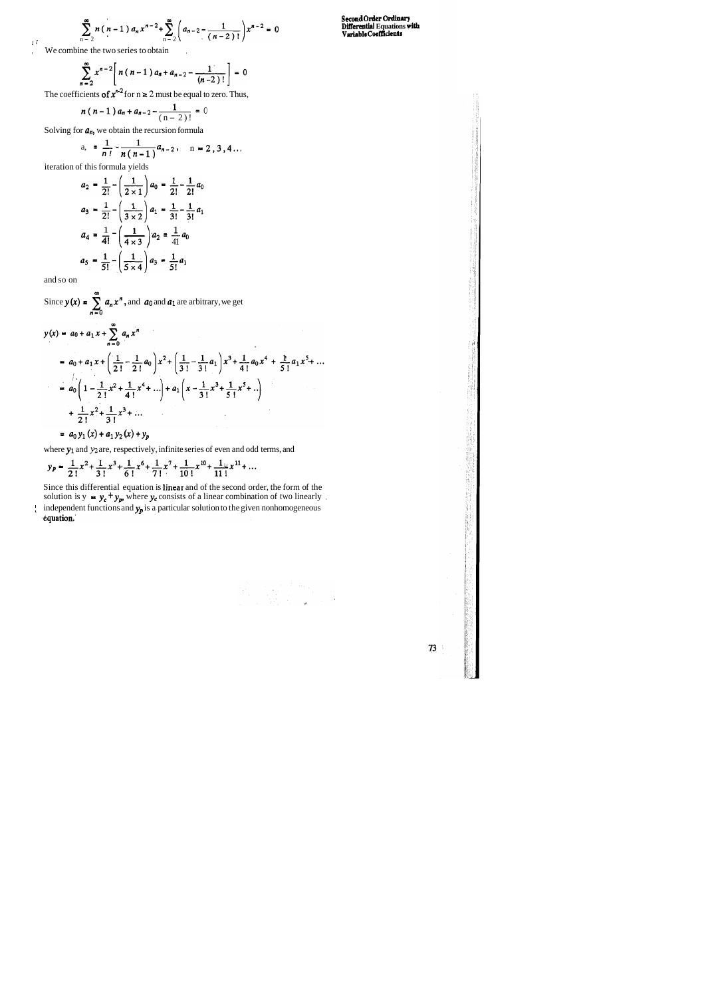$$
\sum_{n=2}^{\infty} n(n-1) a_n x^{n-2} + \sum_{n=2}^{\infty} \left( a_{n-2} - \frac{1}{(n-2)!} \right) x^{n-2} = 0
$$

, We combine the two series to obtain,

$$
\sum_{n=2}^{\infty} x^{n-2} \left[ n(n-1) a_n + a_{n-2} - \frac{1}{(n-2)!} \right] = 0
$$

The coefficients of  $x^{n-2}$  for  $n \ge 2$  must be equal to zero. Thus,

$$
n(n-1) a_n + a_{n-2} - \frac{1}{(n-2)!} = 0
$$

Solving for  $a_n$ , we obtain the recursion formula

a, = 
$$
\frac{1}{n!} - \frac{1}{n(n-1)} a_{n-2}
$$
, n = 2, 3, 4...

Since this differential equation is linear and of the second order, the form of the solution is  $y = y_c + y_p$ , where  $y_c$  consists of a linear combination of two linearly 1 independent functions and  $y_p$  is a particular solution to the given nonhomogeneous equation.



iteration of this formula yields

$$
a_2 = \frac{1}{2!} - \left(\frac{1}{2 \times 1}\right) a_0 = \frac{1}{2!} - \frac{1}{2!} a_0
$$
  
\n
$$
a_3 = \frac{1}{2!} - \left(\frac{1}{3 \times 2}\right) a_1 = \frac{1}{3!} - \frac{1}{3!} a_1
$$
  
\n
$$
a_4 = \frac{1}{4!} - \left(\frac{1}{4 \times 3}\right) a_2 = \frac{1}{4!} a_0
$$
  
\n
$$
a_5 = \frac{1}{5!} - \left(\frac{1}{5 \times 4}\right) a_3 = \frac{1}{5!} a_1
$$

and so on

Since  $y(x) = \sum_{n=1}^{\infty} a_n x^n$ , and **a**<sub>0</sub> and **a**<sub>1</sub> are arbitrary, we get n-0  $y(x) = a_0 + a_1 x + \sum_{n=0}^{\infty} a_n x^n$  $= a_0 + a_1 x + \left(\frac{1}{2!} - \frac{1}{2!} a_0\right) x^2 + \left(\frac{1}{3!} - \frac{1}{3!} a_1\right) x^3 + \frac{1}{4!} a_0 x^4 + \frac{1}{5!} a_1 x^5 + \dots$ 

$$
= a_0 \left( 1 - \frac{1}{2!} x^2 + \frac{1}{4!} x^3 + \dots \right) + a_1 \left( x - \frac{1}{3!} x^2 + \frac{1}{5!} x^3 + \dots \right)
$$
  
+ 
$$
\frac{1}{2!} x^2 + \frac{1}{3!} x^3 + \dots
$$
  
= 
$$
a_0 y_1 (x) + a_1 y_2 (x) + y_p
$$

where  $y_1$  and  $y_2$  are, respectively, infinite series of even and odd terms, and

$$
y_p = \frac{1}{2!}x^2 + \frac{1}{3!}x^3 + \frac{1}{6!}x^6 + \frac{1}{7!}x^7 + \frac{1}{10!}x^{10} + \frac{1}{11!}x^{11} + \dots
$$

**Second Ordcr Ordiauy Differential Equations with Variable Coeffidents**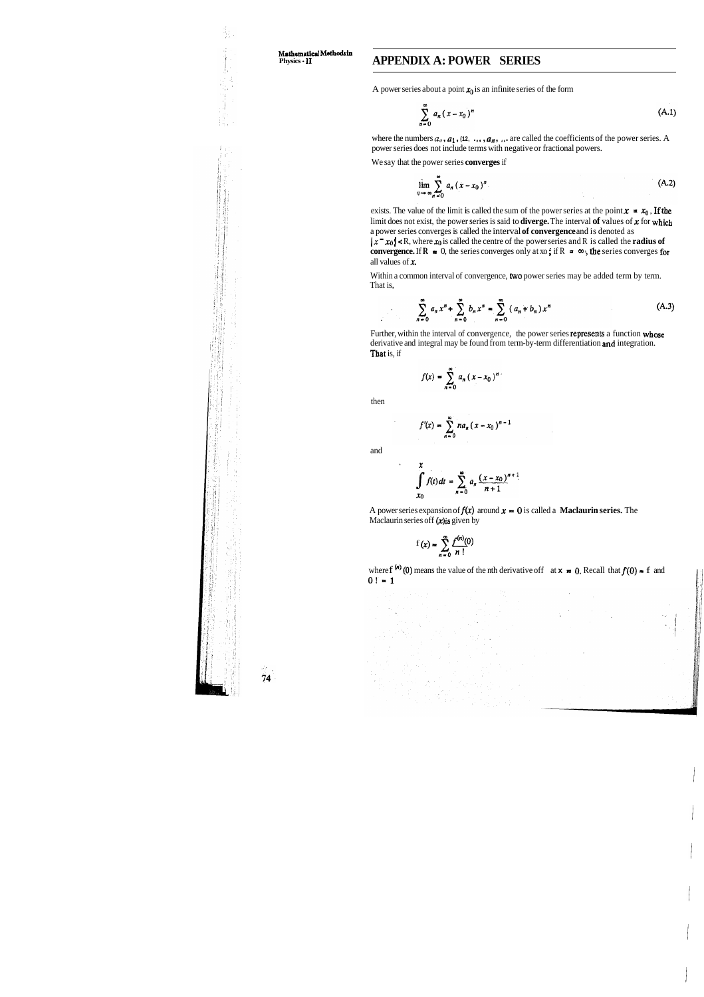## **Physics <sup>11</sup>APPENDIX A: POWER SERIES**

A power series about a point  $x_0$  is an infinite series of the form

$$
\sum_{n=0}^{\infty} a_n (x - x_0)^n
$$
 (A.1)

where the numbers  $a_0$ ,  $a_1$ ,  $(12, \ldots, a_n)$ , ... are called the coefficients of the power series. A power series does not include terms with negative or fractional powers.

exists. The value of the limit is called the sum of the power series at the point  $x = x_0$ , If the limit does not exist, the power series is said to **diverge.** The interval **of** values of x for which a power series converges is called the interval **of convergence** and is denoted as

We say that the power series **converges** if

$$
\lim_{n \to \infty} \sum_{n=0}^{\infty} a_n (x - x_0)^n
$$
 (A.2)

 $|x - x_0| < R$ , where  $x_0$  is called the centre of the power series and R is called the **radius of convergence.** If  $\mathbf{R} = 0$ , the series converges only at xo; if  $\mathbf{R} = \infty$ , the series converges for all values of x.

Within a common interval of convergence, two power series may be added term by term. That is,

$$
\sum_{n=0}^{\infty} a_n x^n + \sum_{n=0}^{\infty} b_n x^n = \sum_{n=0}^{\infty} (a_n + b_n) x^n
$$
 (A.3)

Further, within the interval of convergence, the power series represents a function whose derivative and integral may be found from term-by-term differentiation and integration. That is, if

$$
f(x) = \sum_{n=0}^{\infty} a_n (x - x_0)^n
$$

then

Å.

$$
f'(x) = \sum_{n=0}^{\infty} na_n (x - x_0)^{n-1}
$$

and

 $\ddot{\phantom{0}}$ 

$$
\int_{x_0}^{x} f(t) dt = \sum_{n=0}^{\infty} a_n \frac{(x - x_0)^{n+1}}{n+1}
$$

A power series expansion of  $f(x)$  around  $x = 0$  is called a **Maclaurin series.** The Maclaurin series off  $(x)$  is given by

$$
f(x) = \sum_{n=0}^{\infty} \frac{f^{(n)}(0)}{n!}
$$

where f<sup>(n)</sup> (0) means the value of the nth derivative off at  $x = 0$ . Recall that  $f(0) = f$  and  $0! = 1$ 



úя. 74